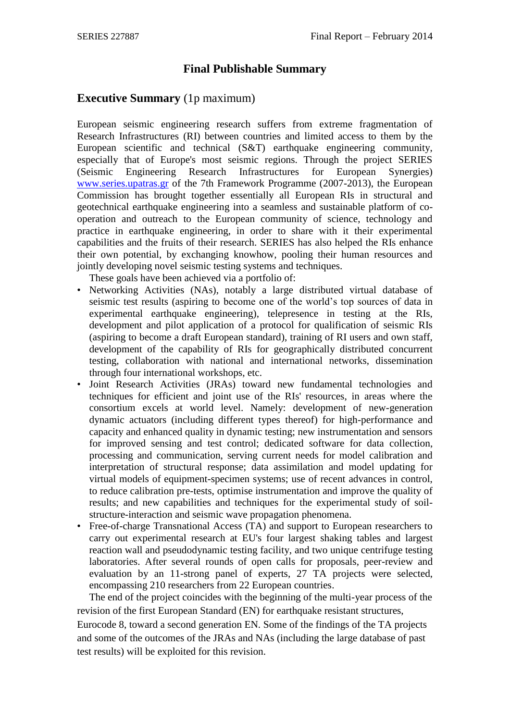# **Final Publishable Summary**

# **Executive Summary** (1p maximum)

European seismic engineering research suffers from extreme fragmentation of Research Infrastructures (RI) between countries and limited access to them by the European scientific and technical (S&T) earthquake engineering community, especially that of Europe's most seismic regions. Through the project SERIES (Seismic Engineering Research Infrastructures for European Synergies) [www.series.upatras.gr](http://www.series.upatras.gr/) of the 7th Framework Programme (2007-2013), the European Commission has brought together essentially all European RIs in structural and geotechnical earthquake engineering into a seamless and sustainable platform of cooperation and outreach to the European community of science, technology and practice in earthquake engineering, in order to share with it their experimental capabilities and the fruits of their research. SERIES has also helped the RIs enhance their own potential, by exchanging knowhow, pooling their human resources and jointly developing novel seismic testing systems and techniques.

These goals have been achieved via a portfolio of:

- Networking Activities (NAs), notably a large distributed virtual database of seismic test results (aspiring to become one of the world's top sources of data in experimental earthquake engineering), telepresence in testing at the RIs, development and pilot application of a protocol for qualification of seismic RIs (aspiring to become a draft European standard), training of RI users and own staff, development of the capability of RIs for geographically distributed concurrent testing, collaboration with national and international networks, dissemination through four international workshops, etc.
- Joint Research Activities (JRAs) toward new fundamental technologies and techniques for efficient and joint use of the RIs' resources, in areas where the consortium excels at world level. Namely: development of new-generation dynamic actuators (including different types thereof) for high-performance and capacity and enhanced quality in dynamic testing; new instrumentation and sensors for improved sensing and test control; dedicated software for data collection, processing and communication, serving current needs for model calibration and interpretation of structural response; data assimilation and model updating for virtual models of equipment-specimen systems; use of recent advances in control, to reduce calibration pre-tests, optimise instrumentation and improve the quality of results; and new capabilities and techniques for the experimental study of soilstructure-interaction and seismic wave propagation phenomena.
- Free-of-charge Transnational Access (TA) and support to European researchers to carry out experimental research at EU's four largest shaking tables and largest reaction wall and pseudodynamic testing facility, and two unique centrifuge testing laboratories. After several rounds of open calls for proposals, peer-review and evaluation by an 11-strong panel of experts, 27 TA projects were selected, encompassing 210 researchers from 22 European countries.

The end of the project coincides with the beginning of the multi-year process of the revision of the first European Standard (EN) for earthquake resistant structures,

Eurocode 8, toward a second generation EN. Some of the findings of the TA projects and some of the outcomes of the JRAs and NAs (including the large database of past test results) will be exploited for this revision.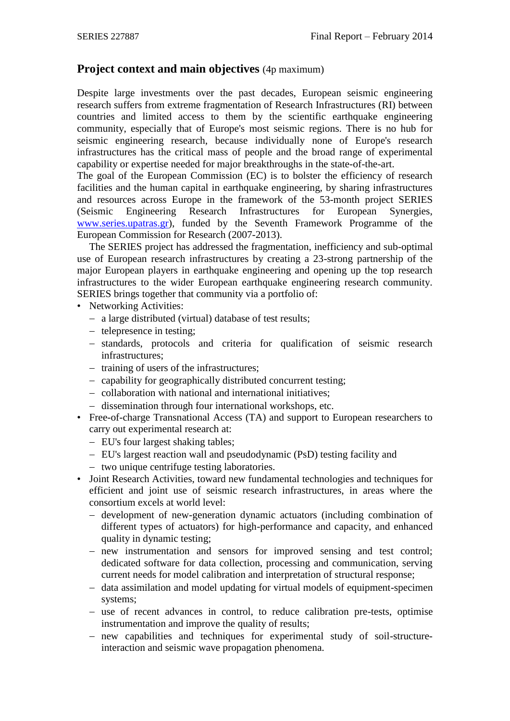# **Project context and main objectives** (4p maximum)

Despite large investments over the past decades, European seismic engineering research suffers from extreme fragmentation of Research Infrastructures (RI) between countries and limited access to them by the scientific earthquake engineering community, especially that of Europe's most seismic regions. There is no hub for seismic engineering research, because individually none of Europe's research infrastructures has the critical mass of people and the broad range of experimental capability or expertise needed for major breakthroughs in the state-of-the-art.

The goal of the European Commission (EC) is to bolster the efficiency of research facilities and the human capital in earthquake engineering, by sharing infrastructures and resources across Europe in the framework of the 53-month project SERIES (Seismic Engineering Research Infrastructures for European Synergies, (Seismic Engineering Research Infrastructures for European Synergies, [www.series.upatras.gr\)](http://www.series.upatras.gr/), funded by the Seventh Framework Programme of the European Commission for Research (2007-2013).

The SERIES project has addressed the fragmentation, inefficiency and sub-optimal use of European research infrastructures by creating a 23-strong partnership of the major European players in earthquake engineering and opening up the top research infrastructures to the wider European earthquake engineering research community. SERIES brings together that community via a portfolio of:

- Networking Activities:
	- a large distributed (virtual) database of test results;
	- telepresence in testing;
	- standards, protocols and criteria for qualification of seismic research infrastructures;
	- $-$  training of users of the infrastructures;
	- capability for geographically distributed concurrent testing;
	- collaboration with national and international initiatives;
	- dissemination through four international workshops, etc.
- Free-of-charge Transnational Access (TA) and support to European researchers to carry out experimental research at:
	- EU's four largest shaking tables:
	- EU's largest reaction wall and pseudodynamic (PsD) testing facility and
	- two unique centrifuge testing laboratories.
- Joint Research Activities, toward new fundamental technologies and techniques for efficient and joint use of seismic research infrastructures, in areas where the consortium excels at world level:
	- development of new-generation dynamic actuators (including combination of different types of actuators) for high-performance and capacity, and enhanced quality in dynamic testing;
	- new instrumentation and sensors for improved sensing and test control; dedicated software for data collection, processing and communication, serving current needs for model calibration and interpretation of structural response;
	- data assimilation and model updating for virtual models of equipment-specimen systems;
	- use of recent advances in control, to reduce calibration pre-tests, optimise instrumentation and improve the quality of results;
	- new capabilities and techniques for experimental study of soil-structureinteraction and seismic wave propagation phenomena.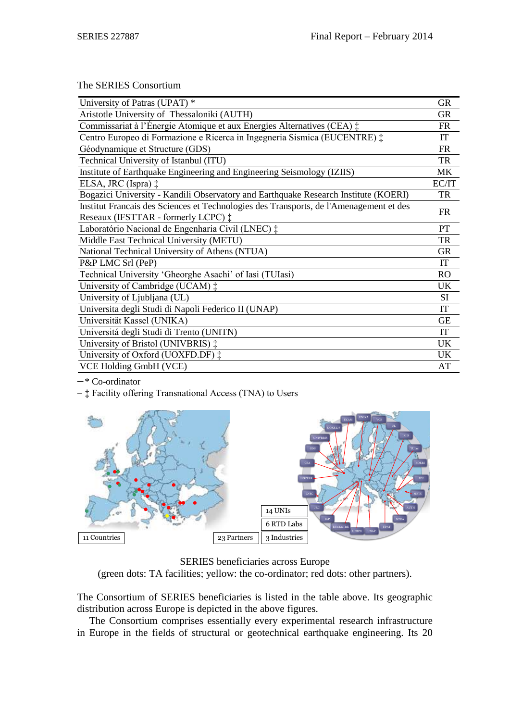#### The SERIES Consortium

| University of Patras (UPAT) *                                                          | <b>GR</b> |  |  |  |  |  |  |
|----------------------------------------------------------------------------------------|-----------|--|--|--|--|--|--|
| Aristotle University of Thessaloniki (AUTH)                                            |           |  |  |  |  |  |  |
| Commissariat à l'Énergie Atomique et aux Energies Alternatives (CEA) $\ddagger$        |           |  |  |  |  |  |  |
| Centro Europeo di Formazione e Ricerca in Ingegneria Sismica (EUCENTRE) :              |           |  |  |  |  |  |  |
| Géodynamique et Structure (GDS)                                                        |           |  |  |  |  |  |  |
| Technical University of Istanbul (ITU)                                                 |           |  |  |  |  |  |  |
| Institute of Earthquake Engineering and Engineering Seismology (IZIIS)                 |           |  |  |  |  |  |  |
| ELSA, JRC (Ispra) $\ddagger$                                                           |           |  |  |  |  |  |  |
| Bogazici University - Kandili Observatory and Earthquake Research Institute (KOERI)    | <b>TR</b> |  |  |  |  |  |  |
| Institut Francais des Sciences et Technologies des Transports, de l'Amenagement et des |           |  |  |  |  |  |  |
| Reseaux (IFSTTAR - formerly LCPC) $\ddagger$                                           | <b>FR</b> |  |  |  |  |  |  |
| Laboratório Nacional de Engenharia Civil (LNEC) $\ddagger$                             | PT        |  |  |  |  |  |  |
| Middle East Technical University (METU)                                                | TR        |  |  |  |  |  |  |
| National Technical University of Athens (NTUA)                                         | <b>GR</b> |  |  |  |  |  |  |
| P&P LMC Srl (PeP)                                                                      | IT        |  |  |  |  |  |  |
| Technical University 'Gheorghe Asachi' of Iasi (TUIasi)                                | <b>RO</b> |  |  |  |  |  |  |
| University of Cambridge (UCAM) $\ddagger$                                              | UK        |  |  |  |  |  |  |
| University of Ljubljana (UL)                                                           | SI        |  |  |  |  |  |  |
| Universita degli Studi di Napoli Federico II (UNAP)                                    | IT        |  |  |  |  |  |  |
| Universität Kassel (UNIKA)                                                             | <b>GE</b> |  |  |  |  |  |  |
| Universitá degli Studi di Trento (UNITN)                                               | IT        |  |  |  |  |  |  |
| University of Bristol (UNIVBRIS) $\ddagger$                                            | <b>UK</b> |  |  |  |  |  |  |
| University of Oxford (UOXFD.DF) $\ddagger$                                             | UK        |  |  |  |  |  |  |
| VCE Holding GmbH (VCE)                                                                 | AT        |  |  |  |  |  |  |
|                                                                                        |           |  |  |  |  |  |  |

 $-*$  Co-ordinator

‡ Facility offering Transnational Access (TNA) to Users



SERIES beneficiaries across Europe (green dots: TA facilities; yellow: the co-ordinator; red dots: other partners).

The Consortium of SERIES beneficiaries is listed in the table above. Its geographic distribution across Europe is depicted in the above figures.

The Consortium comprises essentially every experimental research infrastructure in Europe in the fields of structural or geotechnical earthquake engineering. Its 20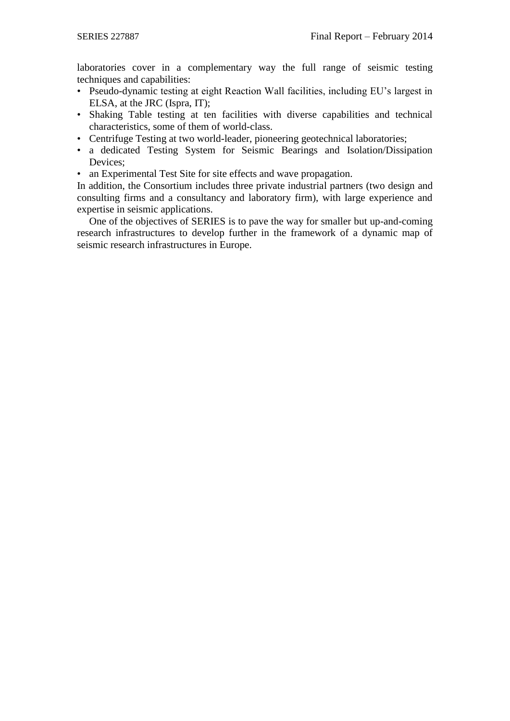laboratories cover in a complementary way the full range of seismic testing techniques and capabilities:

- Pseudo-dynamic testing at eight Reaction Wall facilities, including EU's largest in ELSA, at the JRC (Ispra, IT);
- Shaking Table testing at ten facilities with diverse capabilities and technical characteristics, some of them of world-class.
- Centrifuge Testing at two world-leader, pioneering geotechnical laboratories;
- a dedicated Testing System for Seismic Bearings and Isolation/Dissipation Devices;
- an Experimental Test Site for site effects and wave propagation.

In addition, the Consortium includes three private industrial partners (two design and consulting firms and a consultancy and laboratory firm), with large experience and expertise in seismic applications.

One of the objectives of SERIES is to pave the way for smaller but up-and-coming research infrastructures to develop further in the framework of a dynamic map of seismic research infrastructures in Europe.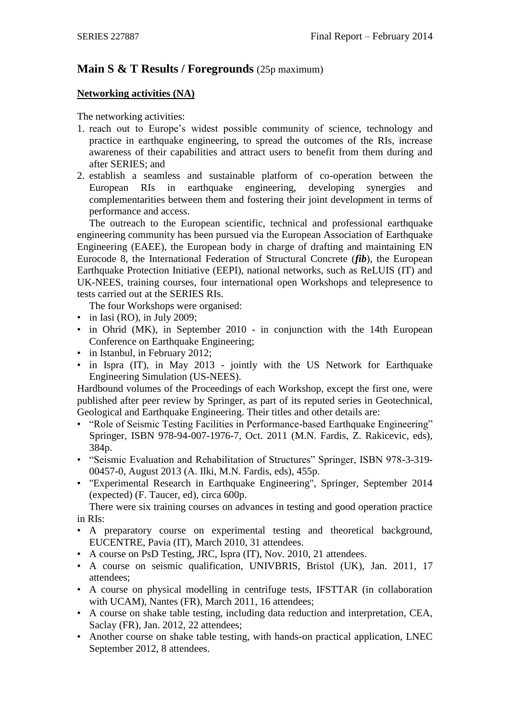# **Main S & T Results / Foregrounds** (25p maximum)

# **Networking activities (NA)**

The networking activities:

- 1. reach out to Europe's widest possible community of science, technology and practice in earthquake engineering, to spread the outcomes of the RIs, increase awareness of their capabilities and attract users to benefit from them during and after SERIES; and
- 2. establish a seamless and sustainable platform of co-operation between the European RIs in earthquake engineering, developing synergies and complementarities between them and fostering their joint development in terms of performance and access.

The outreach to the European scientific, technical and professional earthquake engineering community has been pursued via the European Association of Earthquake Engineering (EAEE), the European body in charge of drafting and maintaining EN Eurocode 8, the International Federation of Structural Concrete (*fib*), the European Earthquake Protection Initiative (EEPI), national networks, such as ReLUIS (IT) and UK-NEES, training courses, four international open Workshops and telepresence to tests carried out at the SERIES RIs.

The four Workshops were organised:

- $\cdot$  in Iasi (RO), in July 2009;
- in Ohrid (MK), in September 2010 in conjunction with the 14th European Conference on Earthquake Engineering;
- in Istanbul, in February 2012:
- in Ispra (IT), in May 2013 jointly with the US Network for Earthquake Engineering Simulation (US-NEES).

Hardbound volumes of the Proceedings of each Workshop, except the first one, were published after peer review by Springer, as part of its reputed series in Geotechnical, Geological and Earthquake Engineering. Their titles and other details are:

- "Role of Seismic Testing Facilities in Performance-based Earthquake Engineering" Springer, ISBN 978-94-007-1976-7, Oct. 2011 (M.N. Fardis, Z. Rakicevic, eds), 384p.
- "Seismic Evaluation and Rehabilitation of Structures" Springer, ISBN 978-3-319- 00457-0, August 2013 (A. Ilki, M.N. Fardis, eds), 455p.
- "Experimental Research in Earthquake Engineering", Springer, September 2014 (expected) (F. Taucer, ed), circa 600p.

There were six training courses on advances in testing and good operation practice in RIs:

- A preparatory course on experimental testing and theoretical background, EUCENTRE, Pavia (IT), March 2010, 31 attendees.
- A course on PsD Testing, JRC, Ispra (IT), Nov. 2010, 21 attendees.
- A course on seismic qualification, UNIVBRIS, Bristol (UK), Jan. 2011, 17 attendees;
- A course on physical modelling in centrifuge tests, IFSTTAR (in collaboration with UCAM), Nantes (FR), March 2011, 16 attendees;
- A course on shake table testing, including data reduction and interpretation, CEA, Saclay (FR), Jan. 2012, 22 attendees;
- Another course on shake table testing, with hands-on practical application, LNEC September 2012, 8 attendees.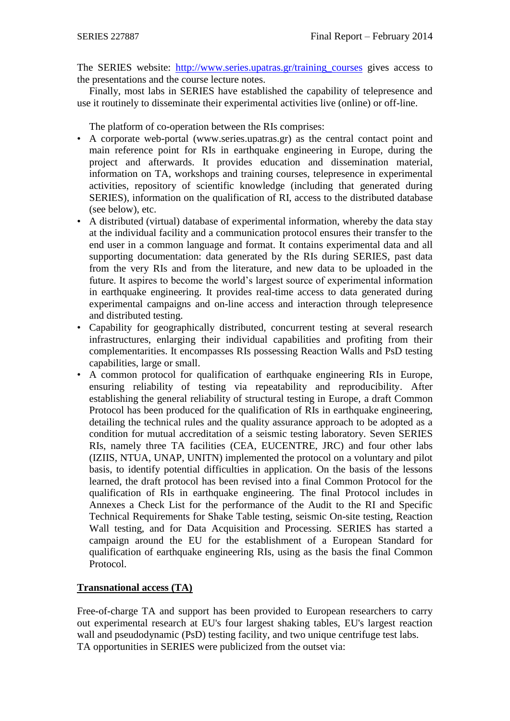The SERIES website: http://www.series.upatras.gr/training courses gives access to the presentations and the course lecture notes.

Finally, most labs in SERIES have established the capability of telepresence and use it routinely to disseminate their experimental activities live (online) or off-line.

The platform of co-operation between the RIs comprises:

- A corporate web-portal (www.series.upatras.gr) as the central contact point and main reference point for RIs in earthquake engineering in Europe, during the project and afterwards. It provides education and dissemination material, information on TA, workshops and training courses, telepresence in experimental activities, repository of scientific knowledge (including that generated during SERIES), information on the qualification of RI, access to the distributed database (see below), etc.
- A distributed (virtual) database of experimental information, whereby the data stay at the individual facility and a communication protocol ensures their transfer to the end user in a common language and format. It contains experimental data and all supporting documentation: data generated by the RIs during SERIES, past data from the very RIs and from the literature, and new data to be uploaded in the future. It aspires to become the world's largest source of experimental information in earthquake engineering. It provides real-time access to data generated during experimental campaigns and on-line access and interaction through telepresence and distributed testing.
- Capability for geographically distributed, concurrent testing at several research infrastructures, enlarging their individual capabilities and profiting from their complementarities. It encompasses RIs possessing Reaction Walls and PsD testing capabilities, large or small.
- A common protocol for qualification of earthquake engineering RIs in Europe, ensuring reliability of testing via repeatability and reproducibility. After establishing the general reliability of structural testing in Europe, a draft Common Protocol has been produced for the qualification of RIs in earthquake engineering, detailing the technical rules and the quality assurance approach to be adopted as a condition for mutual accreditation of a seismic testing laboratory. Seven SERIES RIs, namely three TA facilities (CEA, EUCENTRE, JRC) and four other labs (IZIIS, NTUA, UNAP, UNITN) implemented the protocol on a voluntary and pilot basis, to identify potential difficulties in application. On the basis of the lessons learned, the draft protocol has been revised into a final Common Protocol for the qualification of RIs in earthquake engineering. The final Protocol includes in Annexes a Check List for the performance of the Audit to the RI and Specific Technical Requirements for Shake Table testing, seismic On-site testing, Reaction Wall testing, and for Data Acquisition and Processing. SERIES has started a campaign around the EU for the establishment of a European Standard for qualification of earthquake engineering RIs, using as the basis the final Common Protocol.

# **Transnational access (TA)**

Free-of-charge TA and support has been provided to European researchers to carry out experimental research at EU's four largest shaking tables, EU's largest reaction wall and pseudodynamic (PsD) testing facility, and two unique centrifuge test labs. TA opportunities in SERIES were publicized from the outset via: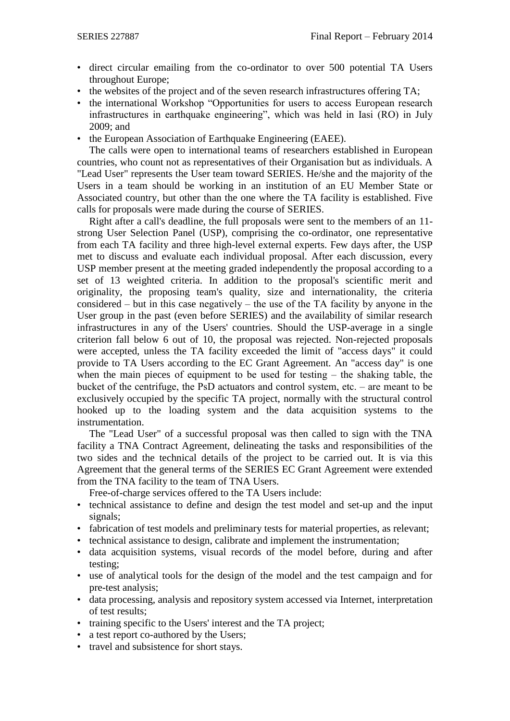- direct circular emailing from the co-ordinator to over 500 potential TA Users throughout Europe;
- the websites of the project and of the seven research infrastructures offering TA:
- the international Workshop "Opportunities for users to access European research infrastructures in earthquake engineering", which was held in Iasi (RO) in July 2009; and
- the European Association of Earthquake Engineering (EAEE).

The calls were open to international teams of researchers established in European countries, who count not as representatives of their Organisation but as individuals. A "Lead User" represents the User team toward SERIES. He/she and the majority of the Users in a team should be working in an institution of an EU Member State or Associated country, but other than the one where the TA facility is established. Five calls for proposals were made during the course of SERIES.

Right after a call's deadline, the full proposals were sent to the members of an 11 strong User Selection Panel (USP), comprising the co-ordinator, one representative from each TA facility and three high-level external experts. Few days after, the USP met to discuss and evaluate each individual proposal. After each discussion, every USP member present at the meeting graded independently the proposal according to a set of 13 weighted criteria. In addition to the proposal's scientific merit and originality, the proposing team's quality, size and internationality, the criteria considered  $-$  but in this case negatively  $-$  the use of the TA facility by anyone in the User group in the past (even before SERIES) and the availability of similar research infrastructures in any of the Users' countries. Should the USP-average in a single criterion fall below 6 out of 10, the proposal was rejected. Non-rejected proposals were accepted, unless the TA facility exceeded the limit of "access days" it could provide to TA Users according to the EC Grant Agreement. An "access day" is one when the main pieces of equipment to be used for testing  $-$  the shaking table, the bucket of the centrifuge, the  $PsD$  actuators and control system, etc.  $-$  are meant to be exclusively occupied by the specific TA project, normally with the structural control hooked up to the loading system and the data acquisition systems to the instrumentation.

The "Lead User" of a successful proposal was then called to sign with the TNA facility a TNA Contract Agreement, delineating the tasks and responsibilities of the two sides and the technical details of the project to be carried out. It is via this Agreement that the general terms of the SERIES EC Grant Agreement were extended from the TNA facility to the team of TNA Users.

Free-of-charge services offered to the TA Users include:

- technical assistance to define and design the test model and set-up and the input signals;
- fabrication of test models and preliminary tests for material properties, as relevant;
- technical assistance to design, calibrate and implement the instrumentation;
- data acquisition systems, visual records of the model before, during and after testing;
- use of analytical tools for the design of the model and the test campaign and for pre-test analysis;
- data processing, analysis and repository system accessed via Internet, interpretation of test results;
- training specific to the Users' interest and the TA project;
- a test report co-authored by the Users;
- travel and subsistence for short stays.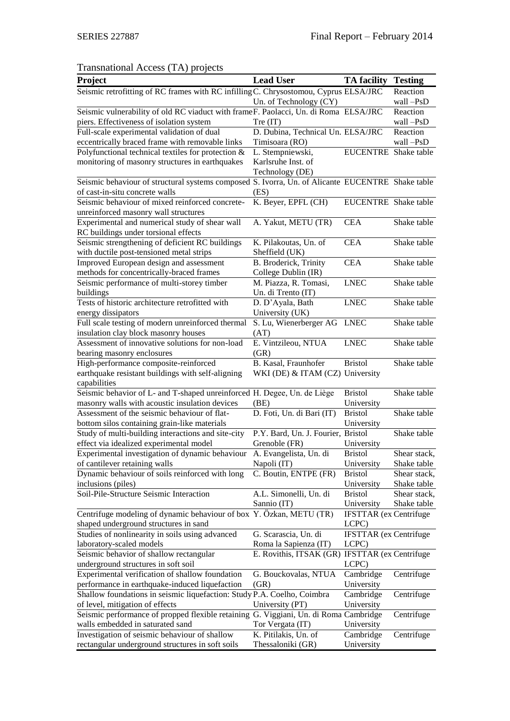# Transnational Access (TA) projects

| Project                                                                                                      | <b>Lead User</b>                               | <b>TA</b> facility                     | <b>Testing</b> |
|--------------------------------------------------------------------------------------------------------------|------------------------------------------------|----------------------------------------|----------------|
| Seismic retrofitting of RC frames with RC infilling C. Chrysostomou, Cyprus ELSA/JRC                         |                                                |                                        | Reaction       |
|                                                                                                              | Un. of Technology (CY)                         |                                        | wall-PsD       |
| Seismic vulnerability of old RC viaduct with frameF. Paolacci, Un. di Roma ELSA/JRC                          |                                                |                                        | Reaction       |
| piers. Effectiveness of isolation system                                                                     | Tre(T)                                         |                                        | wall-PsD       |
| Full-scale experimental validation of dual                                                                   | D. Dubina, Technical Un. ELSA/JRC              |                                        | Reaction       |
| eccentrically braced frame with removable links                                                              | Timisoara (RO)                                 |                                        | wall -PsD      |
| Polyfunctional technical textiles for protection &                                                           | L. Stempniewski,                               | <b>EUCENTRE</b> Shake table            |                |
| monitoring of masonry structures in earthquakes                                                              | Karlsruhe Inst. of<br>Technology (DE)          |                                        |                |
| Seismic behaviour of structural systems composed S. Ivorra, Un. of Alicante EUCENTRE Shake table             |                                                |                                        |                |
| of cast-in-situ concrete walls                                                                               | (ES)                                           |                                        |                |
| Seismic behaviour of mixed reinforced concrete-                                                              | K. Beyer, EPFL (CH)                            | EUCENTRE Shake table                   |                |
| unreinforced masonry wall structures                                                                         |                                                |                                        |                |
| Experimental and numerical study of shear wall                                                               | A. Yakut, METU (TR)                            | <b>CEA</b>                             | Shake table    |
| RC buildings under torsional effects                                                                         |                                                |                                        |                |
| Seismic strengthening of deficient RC buildings                                                              | K. Pilakoutas, Un. of                          | <b>CEA</b>                             | Shake table    |
| with ductile post-tensioned metal strips                                                                     | Sheffield (UK)                                 |                                        |                |
| Improved European design and assessment                                                                      | B. Broderick, Trinity                          | <b>CEA</b>                             | Shake table    |
| methods for concentrically-braced frames                                                                     | College Dublin (IR)                            |                                        |                |
| Seismic performance of multi-storey timber                                                                   | M. Piazza, R. Tomasi,                          | <b>LNEC</b>                            | Shake table    |
| buildings                                                                                                    | Un. di Trento (IT)                             |                                        |                |
| Tests of historic architecture retrofitted with                                                              | D. D'Ayala, Bath                               | <b>LNEC</b>                            | Shake table    |
| energy dissipators                                                                                           | University (UK)                                |                                        |                |
| Full scale testing of modern unreinforced thermal                                                            | S. Lu, Wienerberger AG                         | <b>LNEC</b>                            | Shake table    |
| insulation clay block masonry houses                                                                         | (AT)                                           |                                        |                |
| Assessment of innovative solutions for non-load                                                              | E. Vintzileou, NTUA                            | <b>LNEC</b>                            | Shake table    |
| bearing masonry enclosures                                                                                   | (GR)                                           |                                        |                |
| High-performance composite-reinforced                                                                        | B. Kasal, Fraunhofer                           | <b>Bristol</b>                         | Shake table    |
| earthquake resistant buildings with self-aligning<br>capabilities                                            | WKI (DE) & ITAM (CZ) University                |                                        |                |
| Seismic behavior of L- and T-shaped unreinforced H. Degee, Un. de Liège                                      |                                                | <b>Bristol</b>                         | Shake table    |
| masonry walls with acoustic insulation devices                                                               | (BE)                                           | University                             |                |
| Assessment of the seismic behaviour of flat-                                                                 | D. Foti, Un. di Bari (IT)                      | <b>Bristol</b>                         | Shake table    |
| bottom silos containing grain-like materials                                                                 |                                                | University                             |                |
| Study of multi-building interactions and site-city                                                           | P.Y. Bard, Un. J. Fourier, Bristol             |                                        | Shake table    |
| effect via idealized experimental model                                                                      | Grenoble (FR)                                  | University                             |                |
| Experimental investigation of dynamic behaviour                                                              | A. Evangelista, Un. di                         | <b>Bristol</b>                         | Shear stack,   |
| of cantilever retaining walls                                                                                | Napoli (IT)                                    | University                             | Shake table    |
| Dynamic behaviour of soils reinforced with long                                                              | C. Boutin, ENTPE (FR)                          | <b>Bristol</b>                         | Shear stack,   |
| inclusions (piles)                                                                                           |                                                | University                             | Shake table    |
| Soil-Pile-Structure Seismic Interaction                                                                      | A.L. Simonelli, Un. di                         | <b>Bristol</b>                         | Shear stack,   |
|                                                                                                              | Sannio (IT)                                    | University                             | Shake table    |
| Centrifuge modeling of dynamic behaviour of box Y. Özkan, METU (TR)<br>shaped underground structures in sand |                                                | <b>IFSTTAR</b> (ex Centrifuge<br>LCPC) |                |
| Studies of nonlinearity in soils using advanced                                                              | G. Scarascia, Un. di                           | <b>IFSTTAR</b> (ex Centrifuge          |                |
| laboratory-scaled models                                                                                     | Roma la Sapienza (IT)                          | LCPC)                                  |                |
| Seismic behavior of shallow rectangular                                                                      | E. Rovithis, ITSAK (GR) IFSTTAR (ex Centrifuge |                                        |                |
| underground structures in soft soil                                                                          |                                                | LCPC)                                  |                |
| Experimental verification of shallow foundation                                                              | G. Bouckovalas, NTUA                           | Cambridge                              | Centrifuge     |
| performance in earthquake-induced liquefaction                                                               | (GR)                                           | University                             |                |
| Shallow foundations in seismic liquefaction: Study P.A. Coelho, Coimbra                                      |                                                | Cambridge                              | Centrifuge     |
| of level, mitigation of effects                                                                              | University (PT)                                | University                             |                |
| Seismic performance of propped flexible retaining                                                            | G. Viggiani, Un. di Roma Cambridge             |                                        | Centrifuge     |
| walls embedded in saturated sand                                                                             | Tor Vergata (IT)                               | University                             |                |
| Investigation of seismic behaviour of shallow                                                                | K. Pitilakis, Un. of                           | Cambridge                              | Centrifuge     |
| rectangular underground structures in soft soils                                                             | Thessaloniki (GR)                              | University                             |                |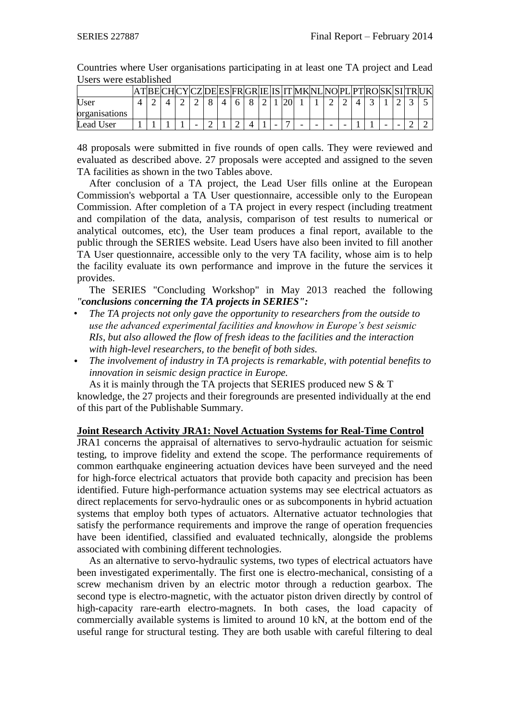|               |  | HК |   |   |  |  |    | DE ES FR GR IE IS IT MK NL NO PL PT RO SK |   |   |  |   |  |  |
|---------------|--|----|---|---|--|--|----|-------------------------------------------|---|---|--|---|--|--|
| User          |  |    | ∸ |   |  |  | ∠∪ |                                           |   | - |  |   |  |  |
| organisations |  |    |   |   |  |  |    |                                           |   |   |  |   |  |  |
| Lead User     |  |    |   | ↩ |  |  | –  | -                                         | - | - |  | - |  |  |

Countries where User organisations participating in at least one TA project and Lead Users were established

48 proposals were submitted in five rounds of open calls. They were reviewed and evaluated as described above. 27 proposals were accepted and assigned to the seven TA facilities as shown in the two Tables above.

After conclusion of a TA project, the Lead User fills online at the European Commission's webportal a TA User questionnaire, accessible only to the European Commission. After completion of a TA project in every respect (including treatment and compilation of the data, analysis, comparison of test results to numerical or analytical outcomes, etc), the User team produces a final report, available to the public through the SERIES website. Lead Users have also been invited to fill another TA User questionnaire, accessible only to the very TA facility, whose aim is to help the facility evaluate its own performance and improve in the future the services it provides.

The SERIES "Concluding Workshop" in May 2013 reached the following *"conclusions concerning the TA projects in SERIES":*

- *The TA projects not only gave the opportunity to researchers from the outside to use the advanced experimental facilities and knowhow in Europe's best seismic RIs, but also allowed the flow of fresh ideas to the facilities and the interaction with high-level researchers, to the benefit of both sides.*
- *The involvement of industry in TA projects is remarkable, with potential benefits to innovation in seismic design practice in Europe.*

As it is mainly through the TA projects that SERIES produced new S & T

knowledge, the 27 projects and their foregrounds are presented individually at the end of this part of the Publishable Summary.

#### **Joint Research Activity JRA1: Novel Actuation Systems for Real-Time Control**

JRA1 concerns the appraisal of alternatives to servo-hydraulic actuation for seismic testing, to improve fidelity and extend the scope. The performance requirements of common earthquake engineering actuation devices have been surveyed and the need for high-force electrical actuators that provide both capacity and precision has been identified. Future high-performance actuation systems may see electrical actuators as direct replacements for servo-hydraulic ones or as subcomponents in hybrid actuation systems that employ both types of actuators. Alternative actuator technologies that satisfy the performance requirements and improve the range of operation frequencies have been identified, classified and evaluated technically, alongside the problems associated with combining different technologies.

As an alternative to servo-hydraulic systems, two types of electrical actuators have been investigated experimentally. The first one is electro-mechanical, consisting of a screw mechanism driven by an electric motor through a reduction gearbox. The second type is electro-magnetic, with the actuator piston driven directly by control of high-capacity rare-earth electro-magnets. In both cases, the load capacity of commercially available systems is limited to around 10 kN, at the bottom end of the useful range for structural testing. They are both usable with careful filtering to deal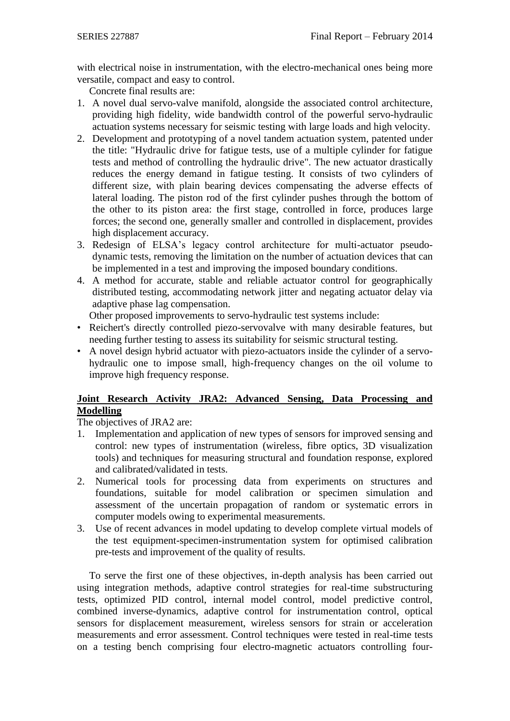with electrical noise in instrumentation, with the electro-mechanical ones being more versatile, compact and easy to control.

Concrete final results are:

- 1. A novel dual servo-valve manifold, alongside the associated control architecture, providing high fidelity, wide bandwidth control of the powerful servo-hydraulic actuation systems necessary for seismic testing with large loads and high velocity.
- 2. Development and prototyping of a novel tandem actuation system, patented under the title: "Hydraulic drive for fatigue tests, use of a multiple cylinder for fatigue tests and method of controlling the hydraulic drive". The new actuator drastically reduces the energy demand in fatigue testing. It consists of two cylinders of different size, with plain bearing devices compensating the adverse effects of lateral loading. The piston rod of the first cylinder pushes through the bottom of the other to its piston area: the first stage, controlled in force, produces large forces; the second one, generally smaller and controlled in displacement, provides high displacement accuracy.
- 3. Redesign of ELSA's legacy control architecture for multi-actuator pseudodynamic tests, removing the limitation on the number of actuation devices that can be implemented in a test and improving the imposed boundary conditions.
- 4. A method for accurate, stable and reliable actuator control for geographically distributed testing, accommodating network jitter and negating actuator delay via adaptive phase lag compensation.

Other proposed improvements to servo-hydraulic test systems include:

- Reichert's directly controlled piezo-servovalve with many desirable features, but needing further testing to assess its suitability for seismic structural testing.
- A novel design hybrid actuator with piezo-actuators inside the cylinder of a servohydraulic one to impose small, high-frequency changes on the oil volume to improve high frequency response.

# **Joint Research Activity JRA2: Advanced Sensing, Data Processing and Modelling**

The objectives of JRA2 are:

- 1. Implementation and application of new types of sensors for improved sensing and control: new types of instrumentation (wireless, fibre optics, 3D visualization tools) and techniques for measuring structural and foundation response, explored and calibrated/validated in tests.
- 2. Numerical tools for processing data from experiments on structures and foundations, suitable for model calibration or specimen simulation and assessment of the uncertain propagation of random or systematic errors in computer models owing to experimental measurements.
- 3. Use of recent advances in model updating to develop complete virtual models of the test equipment-specimen-instrumentation system for optimised calibration pre-tests and improvement of the quality of results.

To serve the first one of these objectives, in-depth analysis has been carried out using integration methods, adaptive control strategies for real-time substructuring tests, optimized PID control, internal model control, model predictive control, combined inverse-dynamics, adaptive control for instrumentation control, optical sensors for displacement measurement, wireless sensors for strain or acceleration measurements and error assessment. Control techniques were tested in real-time tests on a testing bench comprising four electro-magnetic actuators controlling four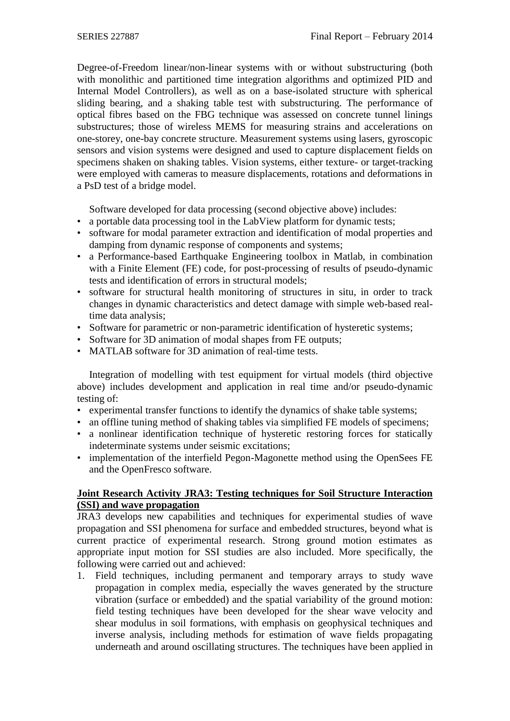Degree-of-Freedom linear/non-linear systems with or without substructuring (both with monolithic and partitioned time integration algorithms and optimized PID and Internal Model Controllers), as well as on a base-isolated structure with spherical sliding bearing, and a shaking table test with substructuring. The performance of optical fibres based on the FBG technique was assessed on concrete tunnel linings substructures; those of wireless MEMS for measuring strains and accelerations on one-storey, one-bay concrete structure. Measurement systems using lasers, gyroscopic sensors and vision systems were designed and used to capture displacement fields on specimens shaken on shaking tables. Vision systems, either texture- or target-tracking were employed with cameras to measure displacements, rotations and deformations in a PsD test of a bridge model.

Software developed for data processing (second objective above) includes:

- a portable data processing tool in the LabView platform for dynamic tests;
- software for modal parameter extraction and identification of modal properties and damping from dynamic response of components and systems;
- a Performance-based Earthquake Engineering toolbox in Matlab, in combination with a Finite Element (FE) code, for post-processing of results of pseudo-dynamic tests and identification of errors in structural models;
- software for structural health monitoring of structures in situ, in order to track changes in dynamic characteristics and detect damage with simple web-based realtime data analysis;
- Software for parametric or non-parametric identification of hysteretic systems;
- Software for 3D animation of modal shapes from FE outputs;
- MATLAB software for 3D animation of real-time tests.

Integration of modelling with test equipment for virtual models (third objective above) includes development and application in real time and/or pseudo-dynamic testing of:

- experimental transfer functions to identify the dynamics of shake table systems;
- an offline tuning method of shaking tables via simplified FE models of specimens;
- a nonlinear identification technique of hysteretic restoring forces for statically indeterminate systems under seismic excitations;
- implementation of the interfield Pegon-Magonette method using the OpenSees FE and the OpenFresco software.

#### **Joint Research Activity JRA3: Testing techniques for Soil Structure Interaction (SSI) and wave propagation**

JRA3 develops new capabilities and techniques for experimental studies of wave propagation and SSI phenomena for surface and embedded structures, beyond what is current practice of experimental research. Strong ground motion estimates as appropriate input motion for SSI studies are also included. More specifically, the following were carried out and achieved:

1. Field techniques, including permanent and temporary arrays to study wave propagation in complex media, especially the waves generated by the structure vibration (surface or embedded) and the spatial variability of the ground motion: field testing techniques have been developed for the shear wave velocity and shear modulus in soil formations, with emphasis on geophysical techniques and inverse analysis, including methods for estimation of wave fields propagating underneath and around oscillating structures. The techniques have been applied in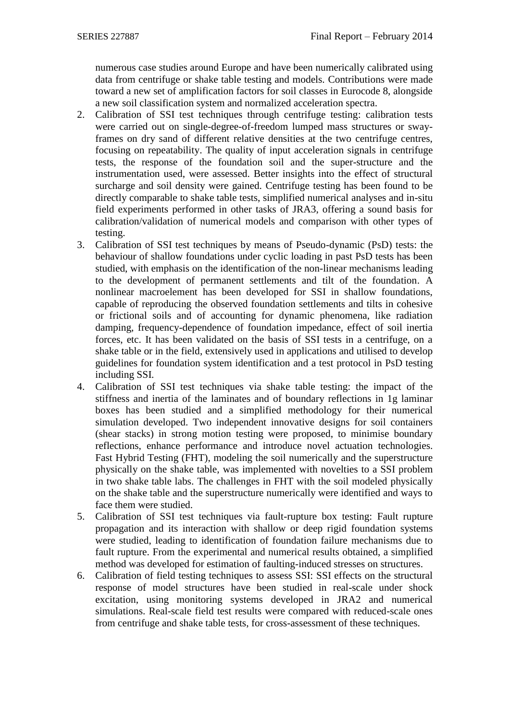numerous case studies around Europe and have been numerically calibrated using data from centrifuge or shake table testing and models. Contributions were made toward a new set of amplification factors for soil classes in Eurocode 8, alongside a new soil classification system and normalized acceleration spectra.

- 2. Calibration of SSI test techniques through centrifuge testing: calibration tests were carried out on single-degree-of-freedom lumped mass structures or swayframes on dry sand of different relative densities at the two centrifuge centres, focusing on repeatability. The quality of input acceleration signals in centrifuge tests, the response of the foundation soil and the super-structure and the instrumentation used, were assessed. Better insights into the effect of structural surcharge and soil density were gained. Centrifuge testing has been found to be directly comparable to shake table tests, simplified numerical analyses and in-situ field experiments performed in other tasks of JRA3, offering a sound basis for calibration/validation of numerical models and comparison with other types of testing.
- 3. Calibration of SSI test techniques by means of Pseudo-dynamic (PsD) tests: the behaviour of shallow foundations under cyclic loading in past PsD tests has been studied, with emphasis on the identification of the non-linear mechanisms leading to the development of permanent settlements and tilt of the foundation. A nonlinear macroelement has been developed for SSI in shallow foundations, capable of reproducing the observed foundation settlements and tilts in cohesive or frictional soils and of accounting for dynamic phenomena, like radiation damping, frequency-dependence of foundation impedance, effect of soil inertia forces, etc. It has been validated on the basis of SSI tests in a centrifuge, on a shake table or in the field, extensively used in applications and utilised to develop guidelines for foundation system identification and a test protocol in PsD testing including SSI.
- 4. Calibration of SSI test techniques via shake table testing: the impact of the stiffness and inertia of the laminates and of boundary reflections in 1g laminar boxes has been studied and a simplified methodology for their numerical simulation developed. Two independent innovative designs for soil containers (shear stacks) in strong motion testing were proposed, to minimise boundary reflections, enhance performance and introduce novel actuation technologies. Fast Hybrid Testing (FHT), modeling the soil numerically and the superstructure physically on the shake table, was implemented with novelties to a SSI problem in two shake table labs. The challenges in FHT with the soil modeled physically on the shake table and the superstructure numerically were identified and ways to face them were studied.
- 5. Calibration of SSI test techniques via fault-rupture box testing: Fault rupture propagation and its interaction with shallow or deep rigid foundation systems were studied, leading to identification of foundation failure mechanisms due to fault rupture. From the experimental and numerical results obtained, a simplified method was developed for estimation of faulting-induced stresses on structures.
- 6. Calibration of field testing techniques to assess SSI: SSI effects on the structural response of model structures have been studied in real-scale under shock excitation, using monitoring systems developed in JRA2 and numerical simulations. Real-scale field test results were compared with reduced-scale ones from centrifuge and shake table tests, for cross-assessment of these techniques.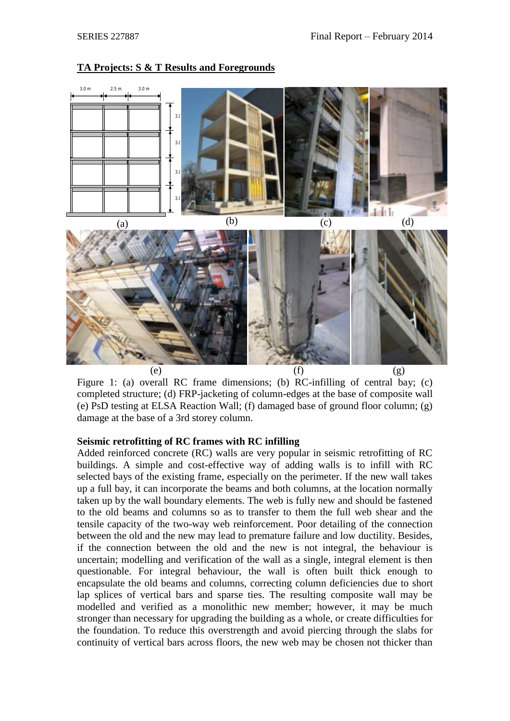### **TA Projects: S & T Results and Foregrounds**



Figure 1: (a) overall RC frame dimensions; (b) RC-infilling of central bay; (c) completed structure; (d) FRP-jacketing of column-edges at the base of composite wall (e) PsD testing at ELSA Reaction Wall; (f) damaged base of ground floor column; (g) damage at the base of a 3rd storey column.

#### **Seismic retrofitting of RC frames with RC infilling**

Added reinforced concrete (RC) walls are very popular in seismic retrofitting of RC buildings. A simple and cost-effective way of adding walls is to infill with RC selected bays of the existing frame, especially on the perimeter. If the new wall takes up a full bay, it can incorporate the beams and both columns, at the location normally taken up by the wall boundary elements. The web is fully new and should be fastened to the old beams and columns so as to transfer to them the full web shear and the tensile capacity of the two-way web reinforcement. Poor detailing of the connection between the old and the new may lead to premature failure and low ductility. Besides, if the connection between the old and the new is not integral, the behaviour is uncertain; modelling and verification of the wall as a single, integral element is then questionable. For integral behaviour, the wall is often built thick enough to encapsulate the old beams and columns, correcting column deficiencies due to short lap splices of vertical bars and sparse ties. The resulting composite wall may be modelled and verified as a monolithic new member; however, it may be much stronger than necessary for upgrading the building as a whole, or create difficulties for the foundation. To reduce this overstrength and avoid piercing through the slabs for continuity of vertical bars across floors, the new web may be chosen not thicker than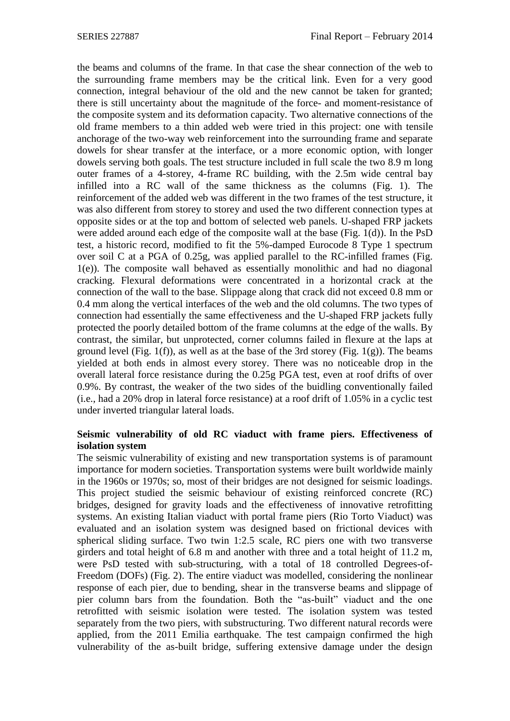the beams and columns of the frame. In that case the shear connection of the web to the surrounding frame members may be the critical link. Even for a very good connection, integral behaviour of the old and the new cannot be taken for granted; there is still uncertainty about the magnitude of the force- and moment-resistance of the composite system and its deformation capacity. Two alternative connections of the old frame members to a thin added web were tried in this project: one with tensile anchorage of the two-way web reinforcement into the surrounding frame and separate dowels for shear transfer at the interface, or a more economic option, with longer dowels serving both goals. The test structure included in full scale the two 8.9 m long outer frames of a 4-storey, 4-frame RC building, with the 2.5m wide central bay infilled into a RC wall of the same thickness as the columns (Fig. 1). The reinforcement of the added web was different in the two frames of the test structure, it was also different from storey to storey and used the two different connection types at opposite sides or at the top and bottom of selected web panels. U-shaped FRP jackets were added around each edge of the composite wall at the base (Fig. 1(d)). In the PsD test, a historic record, modified to fit the 5%-damped Eurocode 8 Type 1 spectrum over soil C at a PGA of 0.25g, was applied parallel to the RC-infilled frames (Fig. 1(e)). The composite wall behaved as essentially monolithic and had no diagonal cracking. Flexural deformations were concentrated in a horizontal crack at the connection of the wall to the base. Slippage along that crack did not exceed 0.8 mm or 0.4 mm along the vertical interfaces of the web and the old columns. The two types of connection had essentially the same effectiveness and the U-shaped FRP jackets fully protected the poorly detailed bottom of the frame columns at the edge of the walls. By contrast, the similar, but unprotected, corner columns failed in flexure at the laps at ground level (Fig. 1(f)), as well as at the base of the 3rd storey (Fig. 1(g)). The beams yielded at both ends in almost every storey. There was no noticeable drop in the overall lateral force resistance during the 0.25g PGA test, even at roof drifts of over 0.9%. By contrast, the weaker of the two sides of the buidling conventionally failed (i.e., had a 20% drop in lateral force resistance) at a roof drift of 1.05% in a cyclic test under inverted triangular lateral loads.

#### **Seismic vulnerability of old RC viaduct with frame piers. Effectiveness of isolation system**

The seismic vulnerability of existing and new transportation systems is of paramount importance for modern societies. Transportation systems were built worldwide mainly in the 1960s or 1970s; so, most of their bridges are not designed for seismic loadings. This project studied the seismic behaviour of existing reinforced concrete (RC) bridges, designed for gravity loads and the effectiveness of innovative retrofitting systems. An existing Italian viaduct with portal frame piers (Rio Torto Viaduct) was evaluated and an isolation system was designed based on frictional devices with spherical sliding surface. Two twin 1:2.5 scale, RC piers one with two transverse girders and total height of 6.8 m and another with three and a total height of 11.2 m, were PsD tested with sub-structuring, with a total of 18 controlled Degrees-of-Freedom (DOFs) (Fig. 2). The entire viaduct was modelled, considering the nonlinear response of each pier, due to bending, shear in the transverse beams and slippage of pier column bars from the foundation. Both the "as-built" viaduct and the one retrofitted with seismic isolation were tested. The isolation system was tested separately from the two piers, with substructuring. Two different natural records were applied, from the 2011 Emilia earthquake. The test campaign confirmed the high vulnerability of the as-built bridge, suffering extensive damage under the design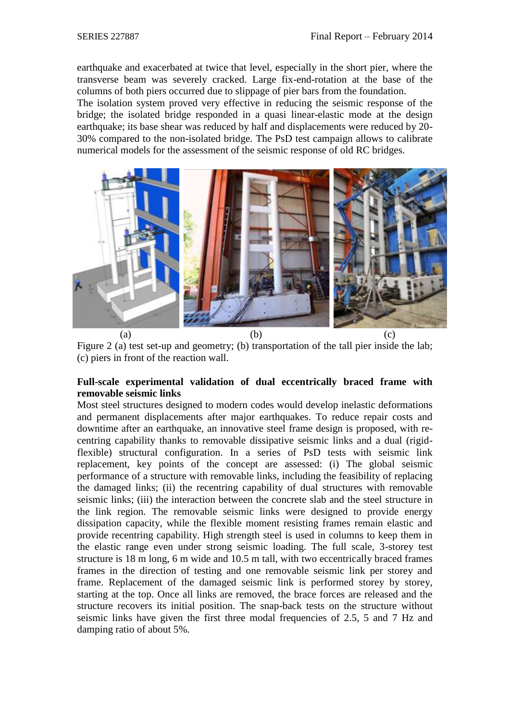earthquake and exacerbated at twice that level, especially in the short pier, where the transverse beam was severely cracked. Large fix-end-rotation at the base of the columns of both piers occurred due to slippage of pier bars from the foundation. The isolation system proved very effective in reducing the seismic response of the bridge; the isolated bridge responded in a quasi linear-elastic mode at the design earthquake; its base shear was reduced by half and displacements were reduced by 20- 30% compared to the non-isolated bridge. The PsD test campaign allows to calibrate numerical models for the assessment of the seismic response of old RC bridges.



Figure 2 (a) test set-up and geometry; (b) transportation of the tall pier inside the lab; (c) piers in front of the reaction wall.

#### **Full-scale experimental validation of dual eccentrically braced frame with removable seismic links**

Most steel structures designed to modern codes would develop inelastic deformations and permanent displacements after major earthquakes. To reduce repair costs and downtime after an earthquake, an innovative steel frame design is proposed, with recentring capability thanks to removable dissipative seismic links and a dual (rigidflexible) structural configuration. In a series of PsD tests with seismic link replacement, key points of the concept are assessed: (i) The global seismic performance of a structure with removable links, including the feasibility of replacing the damaged links; (ii) the recentring capability of dual structures with removable seismic links; (iii) the interaction between the concrete slab and the steel structure in the link region. The removable seismic links were designed to provide energy dissipation capacity, while the flexible moment resisting frames remain elastic and provide recentring capability. High strength steel is used in columns to keep them in the elastic range even under strong seismic loading. The full scale, 3-storey test structure is 18 m long, 6 m wide and 10.5 m tall, with two eccentrically braced frames frames in the direction of testing and one removable seismic link per storey and frame. Replacement of the damaged seismic link is performed storey by storey, starting at the top. Once all links are removed, the brace forces are released and the structure recovers its initial position. The snap-back tests on the structure without seismic links have given the first three modal frequencies of 2.5, 5 and 7 Hz and damping ratio of about 5%.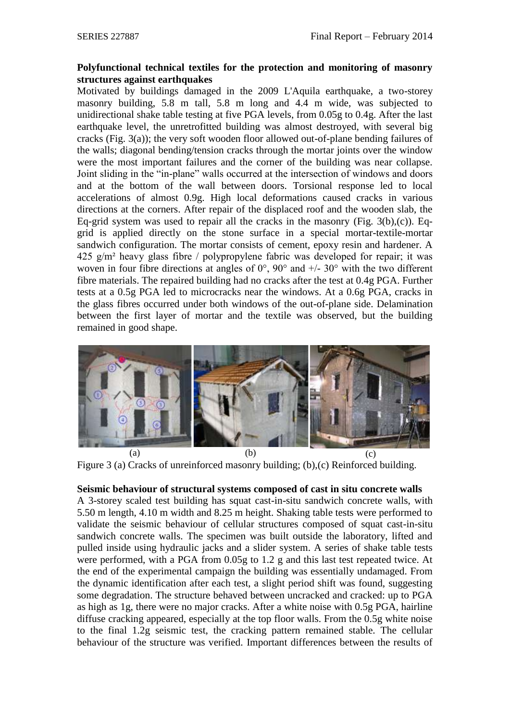#### **Polyfunctional technical textiles for the protection and monitoring of masonry structures against earthquakes**

Motivated by buildings damaged in the 2009 L'Aquila earthquake, a two-storey masonry building, 5.8 m tall, 5.8 m long and 4.4 m wide, was subjected to unidirectional shake table testing at five PGA levels, from 0.05g to 0.4g. After the last earthquake level, the unretrofitted building was almost destroyed, with several big cracks (Fig. 3(a)); the very soft wooden floor allowed out-of-plane bending failures of the walls; diagonal bending/tension cracks through the mortar joints over the window were the most important failures and the corner of the building was near collapse. Joint sliding in the "in-plane" walls occurred at the intersection of windows and doors and at the bottom of the wall between doors. Torsional response led to local accelerations of almost 0.9g. High local deformations caused cracks in various directions at the corners. After repair of the displaced roof and the wooden slab, the Eq-grid system was used to repair all the cracks in the masonry (Fig.  $3(b)(c)$ ). Eqgrid is applied directly on the stone surface in a special mortar-textile-mortar sandwich configuration. The mortar consists of cement, epoxy resin and hardener. A 425 g/m² heavy glass fibre / polypropylene fabric was developed for repair; it was woven in four fibre directions at angles of  $0^{\circ}$ ,  $90^{\circ}$  and  $\pm/2.30^{\circ}$  with the two different fibre materials. The repaired building had no cracks after the test at 0.4g PGA. Further tests at a 0.5g PGA led to microcracks near the windows. At a 0.6g PGA, cracks in the glass fibres occurred under both windows of the out-of-plane side. Delamination between the first layer of mortar and the textile was observed, but the building remained in good shape.



Figure 3 (a) Cracks of unreinforced masonry building; (b),(c) Reinforced building.

# **Seismic behaviour of structural systems composed of cast in situ concrete walls**

A 3-storey scaled test building has squat cast-in-situ sandwich concrete walls, with 5.50 m length, 4.10 m width and 8.25 m height. Shaking table tests were performed to validate the seismic behaviour of cellular structures composed of squat cast-in-situ sandwich concrete walls. The specimen was built outside the laboratory, lifted and pulled inside using hydraulic jacks and a slider system. A series of shake table tests were performed, with a PGA from 0.05g to 1.2 g and this last test repeated twice. At the end of the experimental campaign the building was essentially undamaged. From the dynamic identification after each test, a slight period shift was found, suggesting some degradation. The structure behaved between uncracked and cracked: up to PGA as high as 1g, there were no major cracks. After a white noise with 0.5g PGA, hairline diffuse cracking appeared, especially at the top floor walls. From the 0.5g white noise to the final 1.2g seismic test, the cracking pattern remained stable. The cellular behaviour of the structure was verified. Important differences between the results of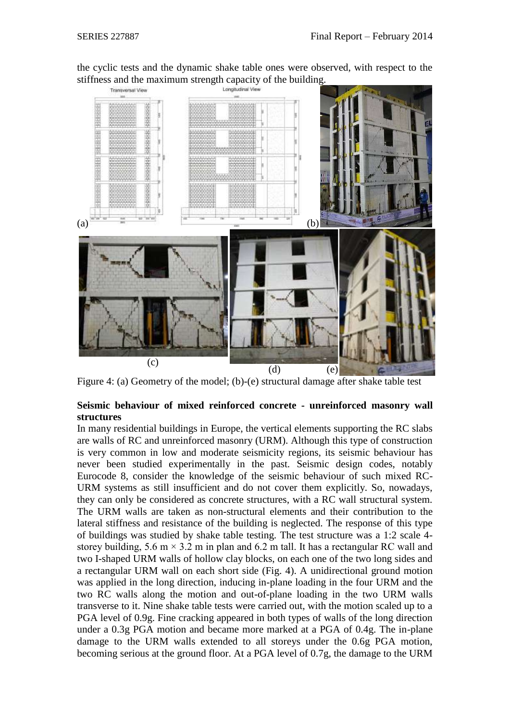the cyclic tests and the dynamic shake table ones were observed, with respect to the stiffness and the maximum strength capacity of the building.



Figure 4: (a) Geometry of the model; (b)-(e) structural damage after shake table test

# **Seismic behaviour of mixed reinforced concrete - unreinforced masonry wall structures**

In many residential buildings in Europe, the vertical elements supporting the RC slabs are walls of RC and unreinforced masonry (URM). Although this type of construction is very common in low and moderate seismicity regions, its seismic behaviour has never been studied experimentally in the past. Seismic design codes, notably Eurocode 8, consider the knowledge of the seismic behaviour of such mixed RC-URM systems as still insufficient and do not cover them explicitly. So, nowadays, they can only be considered as concrete structures, with a RC wall structural system. The URM walls are taken as non-structural elements and their contribution to the lateral stiffness and resistance of the building is neglected. The response of this type of buildings was studied by shake table testing. The test structure was a 1:2 scale 4 storey building, 5.6 m  $\times$  3.2 m in plan and 6.2 m tall. It has a rectangular RC wall and two I-shaped URM walls of hollow clay blocks, on each one of the two long sides and a rectangular URM wall on each short side (Fig. 4). A unidirectional ground motion was applied in the long direction, inducing in-plane loading in the four URM and the two RC walls along the motion and out-of-plane loading in the two URM walls transverse to it. Nine shake table tests were carried out, with the motion scaled up to a PGA level of 0.9g. Fine cracking appeared in both types of walls of the long direction under a 0.3g PGA motion and became more marked at a PGA of 0.4g. The in-plane damage to the URM walls extended to all storeys under the 0.6g PGA motion, becoming serious at the ground floor. At a PGA level of 0.7g, the damage to the URM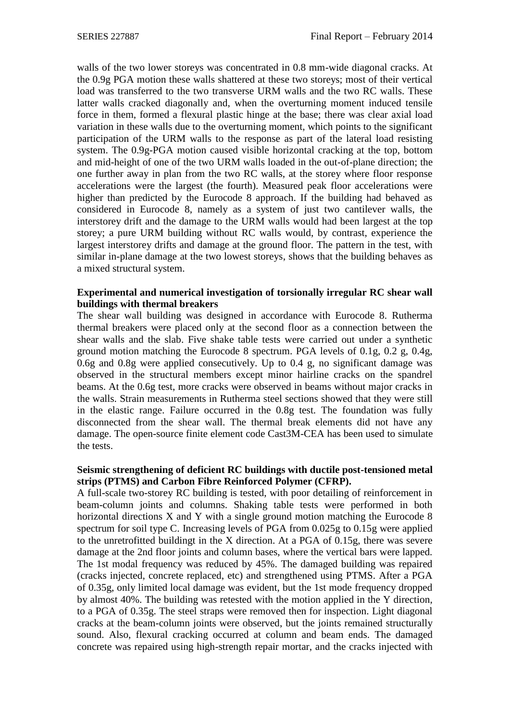walls of the two lower storeys was concentrated in 0.8 mm-wide diagonal cracks. At the 0.9g PGA motion these walls shattered at these two storeys; most of their vertical load was transferred to the two transverse URM walls and the two RC walls. These latter walls cracked diagonally and, when the overturning moment induced tensile force in them, formed a flexural plastic hinge at the base; there was clear axial load variation in these walls due to the overturning moment, which points to the significant participation of the URM walls to the response as part of the lateral load resisting system. The 0.9g-PGA motion caused visible horizontal cracking at the top, bottom and mid-height of one of the two URM walls loaded in the out-of-plane direction; the one further away in plan from the two RC walls, at the storey where floor response accelerations were the largest (the fourth). Measured peak floor accelerations were higher than predicted by the Eurocode 8 approach. If the building had behaved as considered in Eurocode 8, namely as a system of just two cantilever walls, the interstorey drift and the damage to the URM walls would had been largest at the top storey; a pure URM building without RC walls would, by contrast, experience the largest interstorey drifts and damage at the ground floor. The pattern in the test, with similar in-plane damage at the two lowest storeys, shows that the building behaves as a mixed structural system.

# **Experimental and numerical investigation of torsionally irregular RC shear wall buildings with thermal breakers**

The shear wall building was designed in accordance with Eurocode 8. Rutherma thermal breakers were placed only at the second floor as a connection between the shear walls and the slab. Five shake table tests were carried out under a synthetic ground motion matching the Eurocode 8 spectrum. PGA levels of 0.1g, 0.2 g, 0.4g, 0.6g and 0.8g were applied consecutively. Up to 0.4 g, no significant damage was observed in the structural members except minor hairline cracks on the spandrel beams. At the 0.6g test, more cracks were observed in beams without major cracks in the walls. Strain measurements in Rutherma steel sections showed that they were still in the elastic range. Failure occurred in the 0.8g test. The foundation was fully disconnected from the shear wall. The thermal break elements did not have any damage. The open-source finite element code Cast3M-CEA has been used to simulate the tests.

#### **Seismic strengthening of deficient RC buildings with ductile post-tensioned metal strips (PTMS) and Carbon Fibre Reinforced Polymer (CFRP).**

A full-scale two-storey RC building is tested, with poor detailing of reinforcement in beam-column joints and columns. Shaking table tests were performed in both horizontal directions X and Y with a single ground motion matching the Eurocode 8 spectrum for soil type C. Increasing levels of PGA from 0.025g to 0.15g were applied to the unretrofitted buildingt in the X direction. At a PGA of 0.15g, there was severe damage at the 2nd floor joints and column bases, where the vertical bars were lapped. The 1st modal frequency was reduced by 45%. The damaged building was repaired (cracks injected, concrete replaced, etc) and strengthened using PTMS. After a PGA of 0.35g, only limited local damage was evident, but the 1st mode frequency dropped by almost 40%. The building was retested with the motion applied in the Y direction, to a PGA of 0.35g. The steel straps were removed then for inspection. Light diagonal cracks at the beam-column joints were observed, but the joints remained structurally sound. Also, flexural cracking occurred at column and beam ends. The damaged concrete was repaired using high-strength repair mortar, and the cracks injected with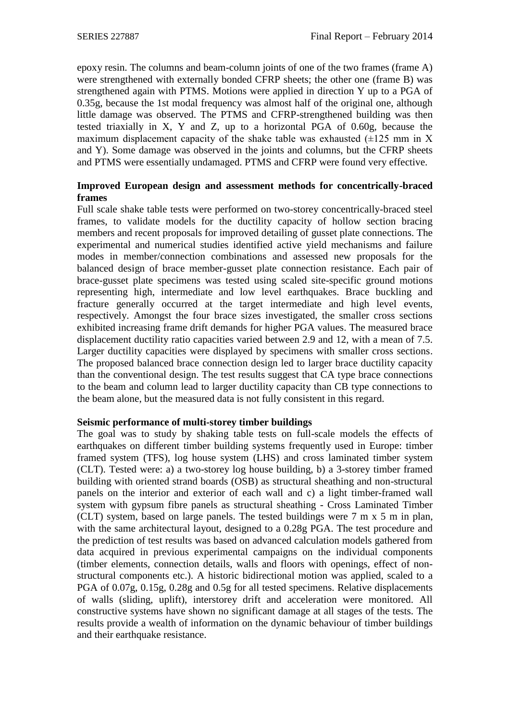epoxy resin. The columns and beam-column joints of one of the two frames (frame A) were strengthened with externally bonded CFRP sheets; the other one (frame B) was strengthened again with PTMS. Motions were applied in direction Y up to a PGA of 0.35g, because the 1st modal frequency was almost half of the original one, although little damage was observed. The PTMS and CFRP-strengthened building was then tested triaxially in X, Y and Z, up to a horizontal PGA of 0.60g, because the maximum displacement capacity of the shake table was exhausted  $(\pm 125 \text{ mm in X})$ and Y). Some damage was observed in the joints and columns, but the CFRP sheets and PTMS were essentially undamaged. PTMS and CFRP were found very effective.

### **Improved European design and assessment methods for concentrically-braced frames**

Full scale shake table tests were performed on two-storey concentrically-braced steel frames, to validate models for the ductility capacity of hollow section bracing members and recent proposals for improved detailing of gusset plate connections. The experimental and numerical studies identified active yield mechanisms and failure modes in member/connection combinations and assessed new proposals for the balanced design of brace member-gusset plate connection resistance. Each pair of brace-gusset plate specimens was tested using scaled site-specific ground motions representing high, intermediate and low level earthquakes. Brace buckling and fracture generally occurred at the target intermediate and high level events, respectively. Amongst the four brace sizes investigated, the smaller cross sections exhibited increasing frame drift demands for higher PGA values. The measured brace displacement ductility ratio capacities varied between 2.9 and 12, with a mean of 7.5. Larger ductility capacities were displayed by specimens with smaller cross sections. The proposed balanced brace connection design led to larger brace ductility capacity than the conventional design. The test results suggest that CA type brace connections to the beam and column lead to larger ductility capacity than CB type connections to the beam alone, but the measured data is not fully consistent in this regard.

#### **Seismic performance of multi-storey timber buildings**

The goal was to study by shaking table tests on full-scale models the effects of earthquakes on different timber building systems frequently used in Europe: timber framed system (TFS), log house system (LHS) and cross laminated timber system (CLT). Tested were: a) a two-storey log house building, b) a 3-storey timber framed building with oriented strand boards (OSB) as structural sheathing and non-structural panels on the interior and exterior of each wall and c) a light timber-framed wall system with gypsum fibre panels as structural sheathing - Cross Laminated Timber (CLT) system, based on large panels. The tested buildings were 7 m x 5 m in plan, with the same architectural layout, designed to a 0.28g PGA. The test procedure and the prediction of test results was based on advanced calculation models gathered from data acquired in previous experimental campaigns on the individual components (timber elements, connection details, walls and floors with openings, effect of nonstructural components etc.). A historic bidirectional motion was applied, scaled to a PGA of 0.07g, 0.15g, 0.28g and 0.5g for all tested specimens. Relative displacements of walls (sliding, uplift), interstorey drift and acceleration were monitored. All constructive systems have shown no significant damage at all stages of the tests. The results provide a wealth of information on the dynamic behaviour of timber buildings and their earthquake resistance.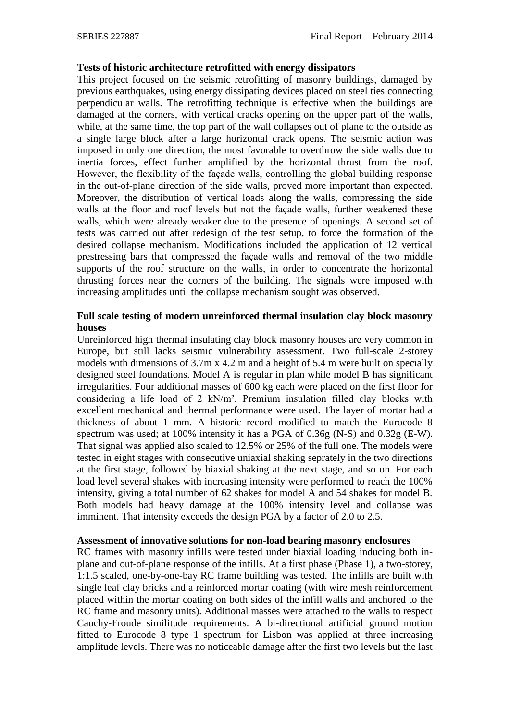#### **Tests of historic architecture retrofitted with energy dissipators**

This project focused on the seismic retrofitting of masonry buildings, damaged by previous earthquakes, using energy dissipating devices placed on steel ties connecting perpendicular walls. The retrofitting technique is effective when the buildings are damaged at the corners, with vertical cracks opening on the upper part of the walls, while, at the same time, the top part of the wall collapses out of plane to the outside as a single large block after a large horizontal crack opens. The seismic action was imposed in only one direction, the most favorable to overthrow the side walls due to inertia forces, effect further amplified by the horizontal thrust from the roof. However, the flexibility of the façade walls, controlling the global building response in the out-of-plane direction of the side walls, proved more important than expected. Moreover, the distribution of vertical loads along the walls, compressing the side walls at the floor and roof levels but not the façade walls, further weakened these walls, which were already weaker due to the presence of openings. A second set of tests was carried out after redesign of the test setup, to force the formation of the desired collapse mechanism. Modifications included the application of 12 vertical prestressing bars that compressed the façade walls and removal of the two middle supports of the roof structure on the walls, in order to concentrate the horizontal thrusting forces near the corners of the building. The signals were imposed with increasing amplitudes until the collapse mechanism sought was observed.

# **Full scale testing of modern unreinforced thermal insulation clay block masonry houses**

Unreinforced high thermal insulating clay block masonry houses are very common in Europe, but still lacks seismic vulnerability assessment. Two full-scale 2-storey models with dimensions of 3.7m x 4.2 m and a height of 5.4 m were built on specially designed steel foundations. Model A is regular in plan while model B has significant irregularities. Four additional masses of 600 kg each were placed on the first floor for considering a life load of 2 kN/m². Premium insulation filled clay blocks with excellent mechanical and thermal performance were used. The layer of mortar had a thickness of about 1 mm. A historic record modified to match the Eurocode 8 spectrum was used; at 100% intensity it has a PGA of 0.36g (N-S) and 0.32g (E-W). That signal was applied also scaled to 12.5% or 25% of the full one. The models were tested in eight stages with consecutive uniaxial shaking seprately in the two directions at the first stage, followed by biaxial shaking at the next stage, and so on. For each load level several shakes with increasing intensity were performed to reach the 100% intensity, giving a total number of 62 shakes for model A and 54 shakes for model B. Both models had heavy damage at the 100% intensity level and collapse was imminent. That intensity exceeds the design PGA by a factor of 2.0 to 2.5.

#### **Assessment of innovative solutions for non-load bearing masonry enclosures**

RC frames with masonry infills were tested under biaxial loading inducing both inplane and out-of-plane response of the infills. At a first phase (Phase 1), a two-storey, 1:1.5 scaled, one-by-one-bay RC frame building was tested. The infills are built with single leaf clay bricks and a reinforced mortar coating (with wire mesh reinforcement placed within the mortar coating on both sides of the infill walls and anchored to the RC frame and masonry units). Additional masses were attached to the walls to respect Cauchy-Froude similitude requirements. A bi-directional artificial ground motion fitted to Eurocode 8 type 1 spectrum for Lisbon was applied at three increasing amplitude levels. There was no noticeable damage after the first two levels but the last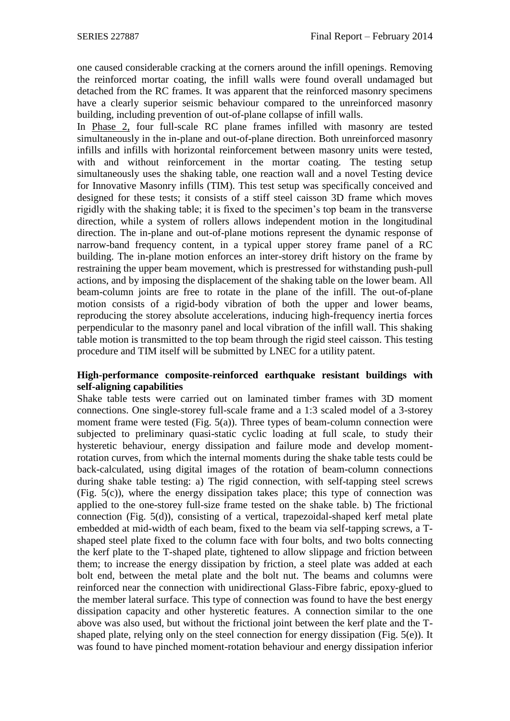one caused considerable cracking at the corners around the infill openings. Removing the reinforced mortar coating, the infill walls were found overall undamaged but detached from the RC frames. It was apparent that the reinforced masonry specimens have a clearly superior seismic behaviour compared to the unreinforced masonry building, including prevention of out-of-plane collapse of infill walls.

In Phase 2, four full-scale RC plane frames infilled with masonry are tested simultaneously in the in-plane and out-of-plane direction. Both unreinforced masonry infills and infills with horizontal reinforcement between masonry units were tested, with and without reinforcement in the mortar coating. The testing setup simultaneously uses the shaking table, one reaction wall and a novel Testing device for Innovative Masonry infills (TIM). This test setup was specifically conceived and designed for these tests; it consists of a stiff steel caisson 3D frame which moves rigidly with the shaking table; it is fixed to the specimen's top beam in the transverse direction, while a system of rollers allows independent motion in the longitudinal direction. The in-plane and out-of-plane motions represent the dynamic response of narrow-band frequency content, in a typical upper storey frame panel of a RC building. The in-plane motion enforces an inter-storey drift history on the frame by restraining the upper beam movement, which is prestressed for withstanding push-pull actions, and by imposing the displacement of the shaking table on the lower beam. All beam-column joints are free to rotate in the plane of the infill. The out-of-plane motion consists of a rigid-body vibration of both the upper and lower beams, reproducing the storey absolute accelerations, inducing high-frequency inertia forces perpendicular to the masonry panel and local vibration of the infill wall. This shaking table motion is transmitted to the top beam through the rigid steel caisson. This testing procedure and TIM itself will be submitted by LNEC for a utility patent.

#### **High-performance composite-reinforced earthquake resistant buildings with self-aligning capabilities**

Shake table tests were carried out on laminated timber frames with 3D moment connections. One single-storey full-scale frame and a 1:3 scaled model of a 3-storey moment frame were tested (Fig. 5(a)). Three types of beam-column connection were subjected to preliminary quasi-static cyclic loading at full scale, to study their hysteretic behaviour, energy dissipation and failure mode and develop momentrotation curves, from which the internal moments during the shake table tests could be back-calculated, using digital images of the rotation of beam-column connections during shake table testing: a) The rigid connection, with self-tapping steel screws (Fig. 5(c)), where the energy dissipation takes place; this type of connection was applied to the one-storey full-size frame tested on the shake table. b) The frictional connection (Fig. 5(d)), consisting of a vertical, trapezoidal-shaped kerf metal plate embedded at mid-width of each beam, fixed to the beam via self-tapping screws, a Tshaped steel plate fixed to the column face with four bolts, and two bolts connecting the kerf plate to the T-shaped plate, tightened to allow slippage and friction between them; to increase the energy dissipation by friction, a steel plate was added at each bolt end, between the metal plate and the bolt nut. The beams and columns were reinforced near the connection with unidirectional Glass-Fibre fabric, epoxy-glued to the member lateral surface. This type of connection was found to have the best energy dissipation capacity and other hysteretic features. A connection similar to the one above was also used, but without the frictional joint between the kerf plate and the Tshaped plate, relying only on the steel connection for energy dissipation (Fig. 5(e)). It was found to have pinched moment-rotation behaviour and energy dissipation inferior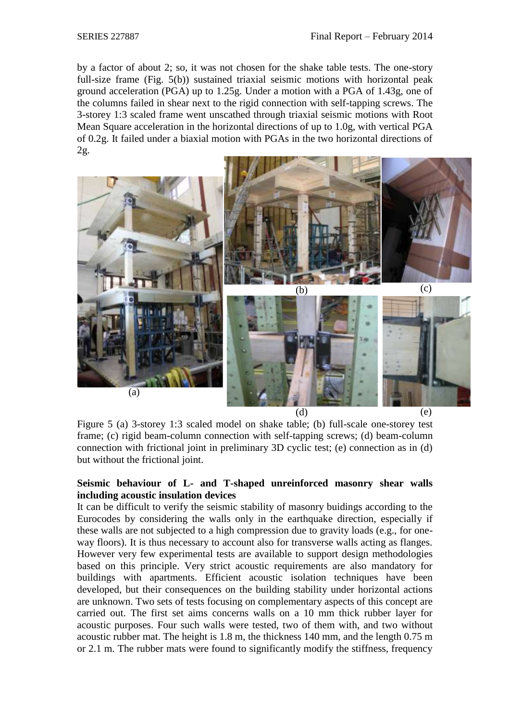by a factor of about 2; so, it was not chosen for the shake table tests. The one-story full-size frame (Fig. 5(b)) sustained triaxial seismic motions with horizontal peak ground acceleration (PGA) up to 1.25g. Under a motion with a PGA of 1.43g, one of the columns failed in shear next to the rigid connection with self-tapping screws. The 3-storey 1:3 scaled frame went unscathed through triaxial seismic motions with Root Mean Square acceleration in the horizontal directions of up to 1.0g, with vertical PGA of 0.2g. It failed under a biaxial motion with PGAs in the two horizontal directions of 2g.



(d) (e)

Figure 5 (a) 3-storey 1:3 scaled model on shake table; (b) full-scale one-storey test frame; (c) rigid beam-column connection with self-tapping screws; (d) beam-column connection with frictional joint in preliminary 3D cyclic test; (e) connection as in (d) but without the frictional joint.

#### **Seismic behaviour of L- and T-shaped unreinforced masonry shear walls including acoustic insulation devices**

It can be difficult to verify the seismic stability of masonry buidings according to the Eurocodes by considering the walls only in the earthquake direction, especially if these walls are not subjected to a high compression due to gravity loads (e.g., for oneway floors). It is thus necessary to account also for transverse walls acting as flanges. However very few experimental tests are available to support design methodologies based on this principle. Very strict acoustic requirements are also mandatory for buildings with apartments. Efficient acoustic isolation techniques have been developed, but their consequences on the building stability under horizontal actions are unknown. Two sets of tests focusing on complementary aspects of this concept are carried out. The first set aims concerns walls on a 10 mm thick rubber layer for acoustic purposes. Four such walls were tested, two of them with, and two without acoustic rubber mat. The height is 1.8 m, the thickness 140 mm, and the length 0.75 m or 2.1 m. The rubber mats were found to significantly modify the stiffness, frequency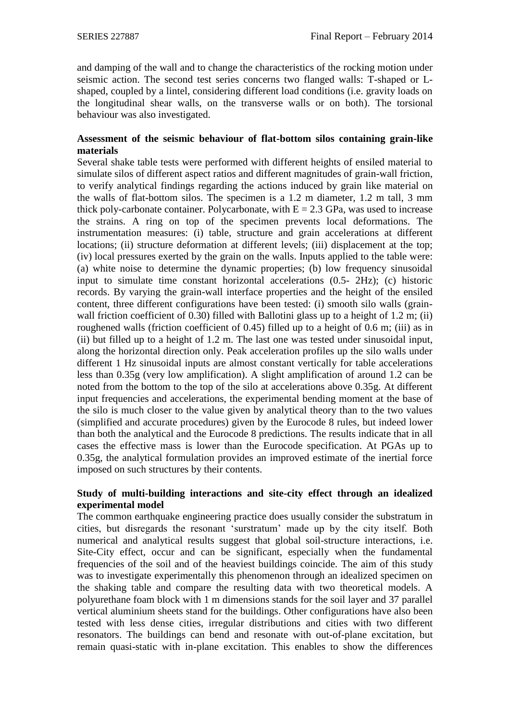and damping of the wall and to change the characteristics of the rocking motion under seismic action. The second test series concerns two flanged walls: T-shaped or Lshaped, coupled by a lintel, considering different load conditions (i.e. gravity loads on the longitudinal shear walls, on the transverse walls or on both). The torsional behaviour was also investigated.

# **Assessment of the seismic behaviour of flat-bottom silos containing grain-like materials**

Several shake table tests were performed with different heights of ensiled material to simulate silos of different aspect ratios and different magnitudes of grain-wall friction, to verify analytical findings regarding the actions induced by grain like material on the walls of flat-bottom silos. The specimen is a 1.2 m diameter, 1.2 m tall, 3 mm thick poly-carbonate container. Polycarbonate, with  $E = 2.3$  GPa, was used to increase the strains. A ring on top of the specimen prevents local deformations. The instrumentation measures: (i) table, structure and grain accelerations at different locations; (ii) structure deformation at different levels; (iii) displacement at the top; (iv) local pressures exerted by the grain on the walls. Inputs applied to the table were: (a) white noise to determine the dynamic properties; (b) low frequency sinusoidal input to simulate time constant horizontal accelerations (0.5- 2Hz); (c) historic records. By varying the grain-wall interface properties and the height of the ensiled content, three different configurations have been tested: (i) smooth silo walls (grainwall friction coefficient of 0.30) filled with Ballotini glass up to a height of 1.2 m; (ii) roughened walls (friction coefficient of 0.45) filled up to a height of 0.6 m; (iii) as in (ii) but filled up to a height of 1.2 m. The last one was tested under sinusoidal input, along the horizontal direction only. Peak acceleration profiles up the silo walls under different 1 Hz sinusoidal inputs are almost constant vertically for table accelerations less than 0.35g (very low amplification). A slight amplification of around 1.2 can be noted from the bottom to the top of the silo at accelerations above 0.35g. At different input frequencies and accelerations, the experimental bending moment at the base of the silo is much closer to the value given by analytical theory than to the two values (simplified and accurate procedures) given by the Eurocode 8 rules, but indeed lower than both the analytical and the Eurocode 8 predictions. The results indicate that in all cases the effective mass is lower than the Eurocode specification. At PGAs up to 0.35g, the analytical formulation provides an improved estimate of the inertial force imposed on such structures by their contents.

#### **Study of multi-building interactions and site-city effect through an idealized experimental model**

The common earthquake engineering practice does usually consider the substratum in cities, but disregards the resonant 'surstratum' made up by the city itself. Both numerical and analytical results suggest that global soil-structure interactions, i.e. Site-City effect, occur and can be significant, especially when the fundamental frequencies of the soil and of the heaviest buildings coincide. The aim of this study was to investigate experimentally this phenomenon through an idealized specimen on the shaking table and compare the resulting data with two theoretical models. A polyurethane foam block with 1 m dimensions stands for the soil layer and 37 parallel vertical aluminium sheets stand for the buildings. Other configurations have also been tested with less dense cities, irregular distributions and cities with two different resonators. The buildings can bend and resonate with out-of-plane excitation, but remain quasi-static with in-plane excitation. This enables to show the differences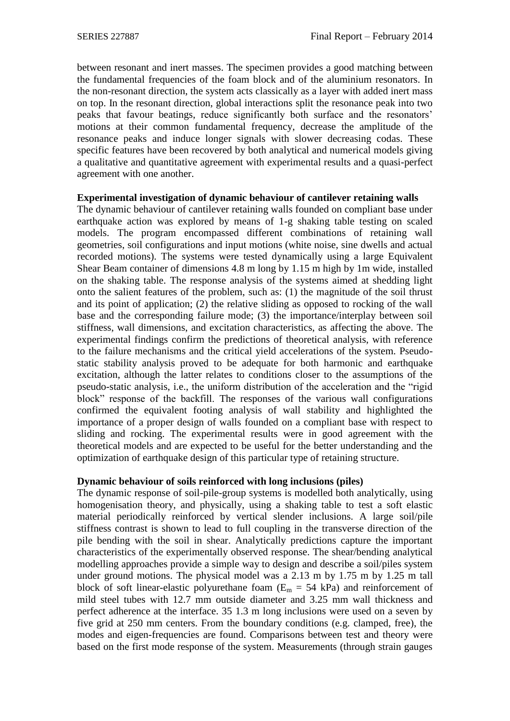between resonant and inert masses. The specimen provides a good matching between the fundamental frequencies of the foam block and of the aluminium resonators. In the non-resonant direction, the system acts classically as a layer with added inert mass on top. In the resonant direction, global interactions split the resonance peak into two peaks that favour beatings, reduce significantly both surface and the resonators' motions at their common fundamental frequency, decrease the amplitude of the resonance peaks and induce longer signals with slower decreasing codas. These specific features have been recovered by both analytical and numerical models giving a qualitative and quantitative agreement with experimental results and a quasi-perfect agreement with one another.

#### **Experimental investigation of dynamic behaviour of cantilever retaining walls**

The dynamic behaviour of cantilever retaining walls founded on compliant base under earthquake action was explored by means of 1-g shaking table testing on scaled models. The program encompassed different combinations of retaining wall geometries, soil configurations and input motions (white noise, sine dwells and actual recorded motions). The systems were tested dynamically using a large Equivalent Shear Beam container of dimensions 4.8 m long by 1.15 m high by 1m wide, installed on the shaking table. The response analysis of the systems aimed at shedding light onto the salient features of the problem, such as: (1) the magnitude of the soil thrust and its point of application; (2) the relative sliding as opposed to rocking of the wall base and the corresponding failure mode; (3) the importance/interplay between soil stiffness, wall dimensions, and excitation characteristics, as affecting the above. The experimental findings confirm the predictions of theoretical analysis, with reference to the failure mechanisms and the critical yield accelerations of the system. Pseudostatic stability analysis proved to be adequate for both harmonic and earthquake excitation, although the latter relates to conditions closer to the assumptions of the pseudo-static analysis, i.e., the uniform distribution of the acceleration and the "rigid block" response of the backfill. The responses of the various wall configurations confirmed the equivalent footing analysis of wall stability and highlighted the importance of a proper design of walls founded on a compliant base with respect to sliding and rocking. The experimental results were in good agreement with the theoretical models and are expected to be useful for the better understanding and the optimization of earthquake design of this particular type of retaining structure.

#### **Dynamic behaviour of soils reinforced with long inclusions (piles)**

The dynamic response of soil-pile-group systems is modelled both analytically, using homogenisation theory, and physically, using a shaking table to test a soft elastic material periodically reinforced by vertical slender inclusions. A large soil/pile stiffness contrast is shown to lead to full coupling in the transverse direction of the pile bending with the soil in shear. Analytically predictions capture the important characteristics of the experimentally observed response. The shear/bending analytical modelling approaches provide a simple way to design and describe a soil/piles system under ground motions. The physical model was a 2.13 m by 1.75 m by 1.25 m tall block of soft linear-elastic polyurethane foam  $(E_m = 54 \text{ kPa})$  and reinforcement of mild steel tubes with 12.7 mm outside diameter and 3.25 mm wall thickness and perfect adherence at the interface. 35 1.3 m long inclusions were used on a seven by five grid at 250 mm centers. From the boundary conditions (e.g. clamped, free), the modes and eigen-frequencies are found. Comparisons between test and theory were based on the first mode response of the system. Measurements (through strain gauges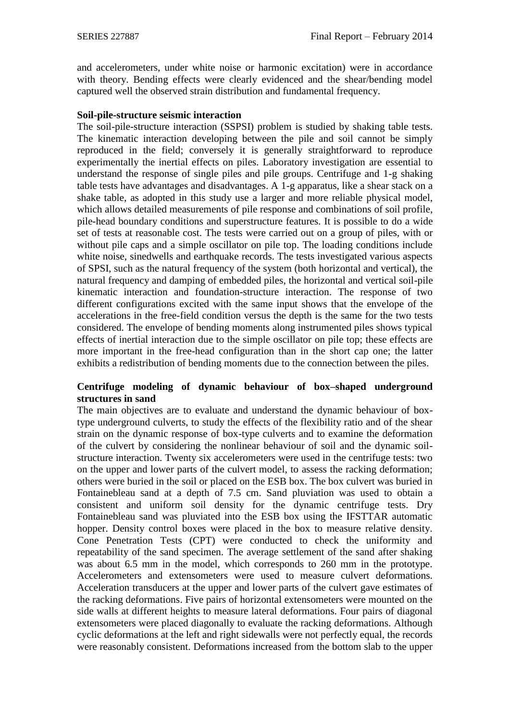and accelerometers, under white noise or harmonic excitation) were in accordance with theory. Bending effects were clearly evidenced and the shear/bending model captured well the observed strain distribution and fundamental frequency.

#### **Soil-pile-structure seismic interaction**

The soil-pile-structure interaction (SSPSI) problem is studied by shaking table tests. The kinematic interaction developing between the pile and soil cannot be simply reproduced in the field; conversely it is generally straightforward to reproduce experimentally the inertial effects on piles. Laboratory investigation are essential to understand the response of single piles and pile groups. Centrifuge and 1-g shaking table tests have advantages and disadvantages. A 1-g apparatus, like a shear stack on a shake table, as adopted in this study use a larger and more reliable physical model, which allows detailed measurements of pile response and combinations of soil profile, pile-head boundary conditions and superstructure features. It is possible to do a wide set of tests at reasonable cost. The tests were carried out on a group of piles, with or without pile caps and a simple oscillator on pile top. The loading conditions include white noise, sinedwells and earthquake records. The tests investigated various aspects of SPSI, such as the natural frequency of the system (both horizontal and vertical), the natural frequency and damping of embedded piles, the horizontal and vertical soil-pile kinematic interaction and foundation-structure interaction. The response of two different configurations excited with the same input shows that the envelope of the accelerations in the free-field condition versus the depth is the same for the two tests considered. The envelope of bending moments along instrumented piles shows typical effects of inertial interaction due to the simple oscillator on pile top; these effects are more important in the free-head configuration than in the short cap one; the latter exhibits a redistribution of bending moments due to the connection between the piles.

#### **Centrifuge modeling of dynamic behaviour of box–shaped underground structures in sand**

The main objectives are to evaluate and understand the dynamic behaviour of boxtype underground culverts, to study the effects of the flexibility ratio and of the shear strain on the dynamic response of box-type culverts and to examine the deformation of the culvert by considering the nonlinear behaviour of soil and the dynamic soilstructure interaction. Twenty six accelerometers were used in the centrifuge tests: two on the upper and lower parts of the culvert model, to assess the racking deformation; others were buried in the soil or placed on the ESB box. The box culvert was buried in Fontainebleau sand at a depth of 7.5 cm. Sand pluviation was used to obtain a consistent and uniform soil density for the dynamic centrifuge tests. Dry Fontainebleau sand was pluviated into the ESB box using the IFSTTAR automatic hopper. Density control boxes were placed in the box to measure relative density. Cone Penetration Tests (CPT) were conducted to check the uniformity and repeatability of the sand specimen. The average settlement of the sand after shaking was about 6.5 mm in the model, which corresponds to 260 mm in the prototype. Accelerometers and extensometers were used to measure culvert deformations. Acceleration transducers at the upper and lower parts of the culvert gave estimates of the racking deformations. Five pairs of horizontal extensometers were mounted on the side walls at different heights to measure lateral deformations. Four pairs of diagonal extensometers were placed diagonally to evaluate the racking deformations. Although cyclic deformations at the left and right sidewalls were not perfectly equal, the records were reasonably consistent. Deformations increased from the bottom slab to the upper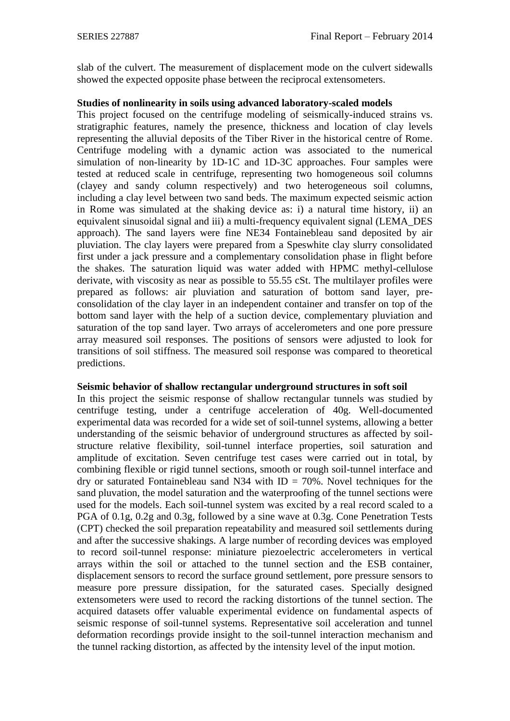slab of the culvert. The measurement of displacement mode on the culvert sidewalls showed the expected opposite phase between the reciprocal extensometers.

#### **Studies of nonlinearity in soils using advanced laboratory-scaled models**

This project focused on the centrifuge modeling of seismically-induced strains vs. stratigraphic features, namely the presence, thickness and location of clay levels representing the alluvial deposits of the Tiber River in the historical centre of Rome. Centrifuge modeling with a dynamic action was associated to the numerical simulation of non-linearity by 1D-1C and 1D-3C approaches. Four samples were tested at reduced scale in centrifuge, representing two homogeneous soil columns (clayey and sandy column respectively) and two heterogeneous soil columns, including a clay level between two sand beds. The maximum expected seismic action in Rome was simulated at the shaking device as: i) a natural time history, ii) an equivalent sinusoidal signal and iii) a multi-frequency equivalent signal (LEMA DES approach). The sand layers were fine NE34 Fontainebleau sand deposited by air pluviation. The clay layers were prepared from a Speswhite clay slurry consolidated first under a jack pressure and a complementary consolidation phase in flight before the shakes. The saturation liquid was water added with HPMC methyl-cellulose derivate, with viscosity as near as possible to 55.55 cSt. The multilayer profiles were prepared as follows: air pluviation and saturation of bottom sand layer, preconsolidation of the clay layer in an independent container and transfer on top of the bottom sand layer with the help of a suction device, complementary pluviation and saturation of the top sand layer. Two arrays of accelerometers and one pore pressure array measured soil responses. The positions of sensors were adjusted to look for transitions of soil stiffness. The measured soil response was compared to theoretical predictions.

#### **Seismic behavior of shallow rectangular underground structures in soft soil**

In this project the seismic response of shallow rectangular tunnels was studied by centrifuge testing, under a centrifuge acceleration of 40g. Well-documented experimental data was recorded for a wide set of soil-tunnel systems, allowing a better understanding of the seismic behavior of underground structures as affected by soilstructure relative flexibility, soil-tunnel interface properties, soil saturation and amplitude of excitation. Seven centrifuge test cases were carried out in total, by combining flexible or rigid tunnel sections, smooth or rough soil-tunnel interface and dry or saturated Fontainebleau sand N34 with  $ID = 70\%$ . Novel techniques for the sand pluvation, the model saturation and the waterproofing of the tunnel sections were used for the models. Each soil-tunnel system was excited by a real record scaled to a PGA of 0.1g, 0.2g and 0.3g, followed by a sine wave at 0.3g. Cone Penetration Tests (CPT) checked the soil preparation repeatability and measured soil settlements during and after the successive shakings. A large number of recording devices was employed to record soil-tunnel response: miniature piezoelectric accelerometers in vertical arrays within the soil or attached to the tunnel section and the ESB container, displacement sensors to record the surface ground settlement, pore pressure sensors to measure pore pressure dissipation, for the saturated cases. Specially designed extensometers were used to record the racking distortions of the tunnel section. The acquired datasets offer valuable experimental evidence on fundamental aspects of seismic response of soil-tunnel systems. Representative soil acceleration and tunnel deformation recordings provide insight to the soil-tunnel interaction mechanism and the tunnel racking distortion, as affected by the intensity level of the input motion.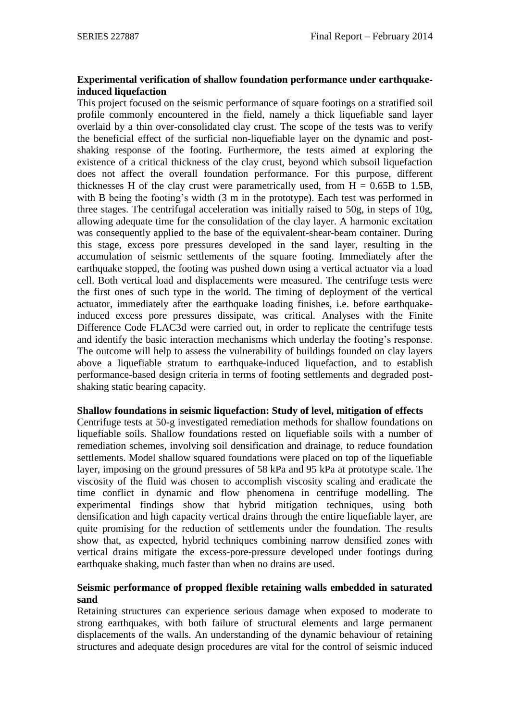### **Experimental verification of shallow foundation performance under earthquakeinduced liquefaction**

This project focused on the seismic performance of square footings on a stratified soil profile commonly encountered in the field, namely a thick liquefiable sand layer overlaid by a thin over-consolidated clay crust. The scope of the tests was to verify the beneficial effect of the surficial non-liquefiable layer on the dynamic and postshaking response of the footing. Furthermore, the tests aimed at exploring the existence of a critical thickness of the clay crust, beyond which subsoil liquefaction does not affect the overall foundation performance. For this purpose, different thicknesses H of the clay crust were parametrically used, from  $H = 0.65B$  to 1.5B, with B being the footing's width (3 m in the prototype). Each test was performed in three stages. The centrifugal acceleration was initially raised to 50g, in steps of 10g, allowing adequate time for the consolidation of the clay layer. A harmonic excitation was consequently applied to the base of the equivalent-shear-beam container. During this stage, excess pore pressures developed in the sand layer, resulting in the accumulation of seismic settlements of the square footing. Immediately after the earthquake stopped, the footing was pushed down using a vertical actuator via a load cell. Both vertical load and displacements were measured. The centrifuge tests were the first ones of such type in the world. The timing of deployment of the vertical actuator, immediately after the earthquake loading finishes, i.e. before earthquakeinduced excess pore pressures dissipate, was critical. Analyses with the Finite Difference Code FLAC3d were carried out, in order to replicate the centrifuge tests and identify the basic interaction mechanisms which underlay the footing's response. The outcome will help to assess the vulnerability of buildings founded on clay layers above a liquefiable stratum to earthquake-induced liquefaction, and to establish performance-based design criteria in terms of footing settlements and degraded postshaking static bearing capacity.

#### **Shallow foundations in seismic liquefaction: Study of level, mitigation of effects**

Centrifuge tests at 50-g investigated remediation methods for shallow foundations on liquefiable soils. Shallow foundations rested on liquefiable soils with a number of remediation schemes, involving soil densification and drainage, to reduce foundation settlements. Model shallow squared foundations were placed on top of the liquefiable layer, imposing on the ground pressures of 58 kPa and 95 kPa at prototype scale. The viscosity of the fluid was chosen to accomplish viscosity scaling and eradicate the time conflict in dynamic and flow phenomena in centrifuge modelling. The experimental findings show that hybrid mitigation techniques, using both densification and high capacity vertical drains through the entire liquefiable layer, are quite promising for the reduction of settlements under the foundation. The results show that, as expected, hybrid techniques combining narrow densified zones with vertical drains mitigate the excess-pore-pressure developed under footings during earthquake shaking, much faster than when no drains are used.

### **Seismic performance of propped flexible retaining walls embedded in saturated sand**

Retaining structures can experience serious damage when exposed to moderate to strong earthquakes, with both failure of structural elements and large permanent displacements of the walls. An understanding of the dynamic behaviour of retaining structures and adequate design procedures are vital for the control of seismic induced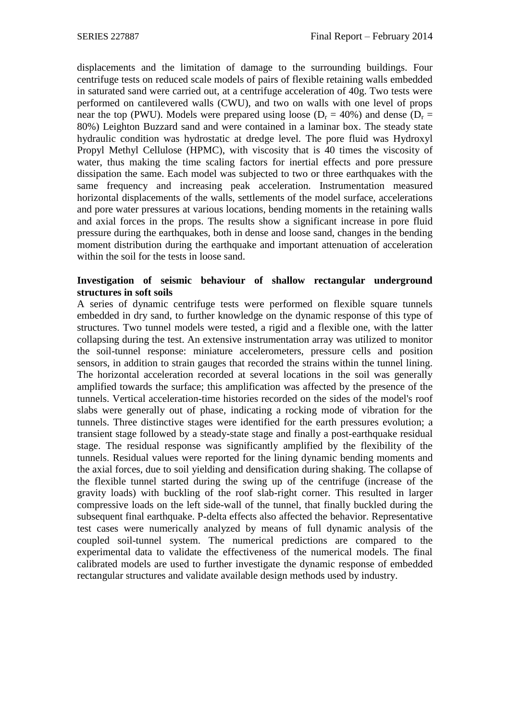displacements and the limitation of damage to the surrounding buildings. Four centrifuge tests on reduced scale models of pairs of flexible retaining walls embedded in saturated sand were carried out, at a centrifuge acceleration of 40g. Two tests were performed on cantilevered walls (CWU), and two on walls with one level of props near the top (PWU). Models were prepared using loose ( $D_r = 40\%$ ) and dense ( $D_r =$ 80%) Leighton Buzzard sand and were contained in a laminar box. The steady state hydraulic condition was hydrostatic at dredge level. The pore fluid was Hydroxyl Propyl Methyl Cellulose (HPMC), with viscosity that is 40 times the viscosity of water, thus making the time scaling factors for inertial effects and pore pressure dissipation the same. Each model was subjected to two or three earthquakes with the same frequency and increasing peak acceleration. Instrumentation measured horizontal displacements of the walls, settlements of the model surface, accelerations and pore water pressures at various locations, bending moments in the retaining walls and axial forces in the props. The results show a significant increase in pore fluid pressure during the earthquakes, both in dense and loose sand, changes in the bending moment distribution during the earthquake and important attenuation of acceleration within the soil for the tests in loose sand.

#### **Investigation of seismic behaviour of shallow rectangular underground structures in soft soils**

A series of dynamic centrifuge tests were performed on flexible square tunnels embedded in dry sand, to further knowledge on the dynamic response of this type of structures. Two tunnel models were tested, a rigid and a flexible one, with the latter collapsing during the test. An extensive instrumentation array was utilized to monitor the soil-tunnel response: miniature accelerometers, pressure cells and position sensors, in addition to strain gauges that recorded the strains within the tunnel lining. The horizontal acceleration recorded at several locations in the soil was generally amplified towards the surface; this amplification was affected by the presence of the tunnels. Vertical acceleration-time histories recorded on the sides of the model's roof slabs were generally out of phase, indicating a rocking mode of vibration for the tunnels. Three distinctive stages were identified for the earth pressures evolution; a transient stage followed by a steady-state stage and finally a post-earthquake residual stage. The residual response was significantly amplified by the flexibility of the tunnels. Residual values were reported for the lining dynamic bending moments and the axial forces, due to soil yielding and densification during shaking. The collapse of the flexible tunnel started during the swing up of the centrifuge (increase of the gravity loads) with buckling of the roof slab-right corner. This resulted in larger compressive loads on the left side-wall of the tunnel, that finally buckled during the subsequent final earthquake. P-delta effects also affected the behavior. Representative test cases were numerically analyzed by means of full dynamic analysis of the coupled soil-tunnel system. The numerical predictions are compared to the experimental data to validate the effectiveness of the numerical models. The final calibrated models are used to further investigate the dynamic response of embedded rectangular structures and validate available design methods used by industry.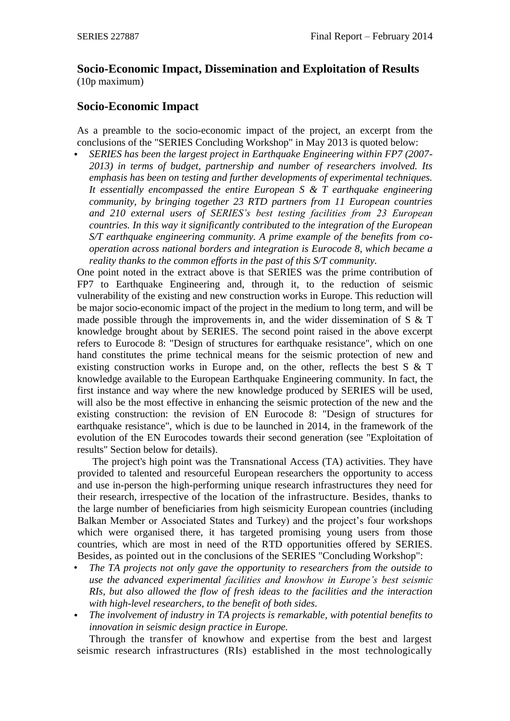# **Socio-Economic Impact, Dissemination and Exploitation of Results**  (10p maximum)

# **Socio-Economic Impact**

As a preamble to the socio-economic impact of the project, an excerpt from the conclusions of the "SERIES Concluding Workshop" in May 2013 is quoted below:

• *SERIES has been the largest project in Earthquake Engineering within FP7 (2007- 2013) in terms of budget, partnership and number of researchers involved. Its emphasis has been on testing and further developments of experimental techniques. It essentially encompassed the entire European S & T earthquake engineering community, by bringing together 23 RTD partners from 11 European countries and 210 external users of SERIES's best testing facilities from 23 European countries. In this way it significantly contributed to the integration of the European S/T earthquake engineering community. A prime example of the benefits from cooperation across national borders and integration is Eurocode 8, which became a reality thanks to the common efforts in the past of this S/T community.*

One point noted in the extract above is that SERIES was the prime contribution of FP7 to Earthquake Engineering and, through it, to the reduction of seismic vulnerability of the existing and new construction works in Europe. This reduction will be major socio-economic impact of the project in the medium to long term, and will be made possible through the improvements in, and the wider dissemination of S & T knowledge brought about by SERIES. The second point raised in the above excerpt refers to Eurocode 8: "Design of structures for earthquake resistance", which on one hand constitutes the prime technical means for the seismic protection of new and existing construction works in Europe and, on the other, reflects the best S & T knowledge available to the European Earthquake Engineering community. In fact, the first instance and way where the new knowledge produced by SERIES will be used, will also be the most effective in enhancing the seismic protection of the new and the existing construction: the revision of EN Eurocode 8: "Design of structures for earthquake resistance", which is due to be launched in 2014, in the framework of the evolution of the EN Eurocodes towards their second generation (see "Exploitation of results" Section below for details).

The project's high point was the Transnational Access (TA) activities. They have provided to talented and resourceful European researchers the opportunity to access and use in-person the high-performing unique research infrastructures they need for their research, irrespective of the location of the infrastructure. Besides, thanks to the large number of beneficiaries from high seismicity European countries (including Balkan Member or Associated States and Turkey) and the project's four workshops which were organised there, it has targeted promising young users from those countries, which are most in need of the RTD opportunities offered by SERIES. Besides, as pointed out in the conclusions of the SERIES "Concluding Workshop":

- *The TA projects not only gave the opportunity to researchers from the outside to use the advanced experimental facilities and knowhow in Europe's best seismic RIs, but also allowed the flow of fresh ideas to the facilities and the interaction with high-level researchers, to the benefit of both sides.*
- *The involvement of industry in TA projects is remarkable, with potential benefits to innovation in seismic design practice in Europe.*

Through the transfer of knowhow and expertise from the best and largest seismic research infrastructures (RIs) established in the most technologically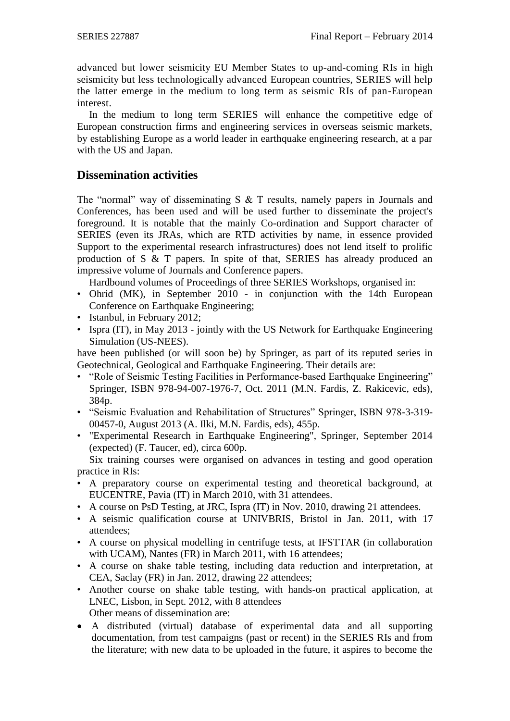advanced but lower seismicity EU Member States to up-and-coming RIs in high seismicity but less technologically advanced European countries, SERIES will help the latter emerge in the medium to long term as seismic RIs of pan-European interest.

In the medium to long term SERIES will enhance the competitive edge of European construction firms and engineering services in overseas seismic markets, by establishing Europe as a world leader in earthquake engineering research, at a par with the US and Japan.

# **Dissemination activities**

The "normal" way of disseminating S & T results, namely papers in Journals and Conferences, has been used and will be used further to disseminate the project's foreground. It is notable that the mainly Co-ordination and Support character of SERIES (even its JRAs, which are RTD activities by name, in essence provided Support to the experimental research infrastructures) does not lend itself to prolific production of S & T papers. In spite of that, SERIES has already produced an impressive volume of Journals and Conference papers.

Hardbound volumes of Proceedings of three SERIES Workshops, organised in:

- Ohrid (MK), in September 2010 in conjunction with the 14th European Conference on Earthquake Engineering;
- Istanbul, in February 2012;
- Ispra (IT), in May 2013 jointly with the US Network for Earthquake Engineering Simulation (US-NEES).

have been published (or will soon be) by Springer, as part of its reputed series in Geotechnical, Geological and Earthquake Engineering. Their details are:

- "Role of Seismic Testing Facilities in Performance-based Earthquake Engineering" Springer, ISBN 978-94-007-1976-7, Oct. 2011 (M.N. Fardis, Z. Rakicevic, eds), 384p.
- "Seismic Evaluation and Rehabilitation of Structures" Springer, ISBN 978-3-319- 00457-0, August 2013 (A. Ilki, M.N. Fardis, eds), 455p.
- "Experimental Research in Earthquake Engineering", Springer, September 2014 (expected) (F. Taucer, ed), circa 600p.

Six training courses were organised on advances in testing and good operation practice in RIs:

- A preparatory course on experimental testing and theoretical background, at EUCENTRE, Pavia (IT) in March 2010, with 31 attendees.
- A course on PsD Testing, at JRC, Ispra (IT) in Nov. 2010, drawing 21 attendees.
- A seismic qualification course at UNIVBRIS, Bristol in Jan. 2011, with 17 attendees;
- A course on physical modelling in centrifuge tests, at IFSTTAR (in collaboration with UCAM), Nantes (FR) in March 2011, with 16 attendees;
- A course on shake table testing, including data reduction and interpretation, at CEA, Saclay (FR) in Jan. 2012, drawing 22 attendees;
- Another course on shake table testing, with hands-on practical application, at LNEC, Lisbon, in Sept. 2012, with 8 attendees Other means of dissemination are:
- A distributed (virtual) database of experimental data and all supporting documentation, from test campaigns (past or recent) in the SERIES RIs and from the literature; with new data to be uploaded in the future, it aspires to become the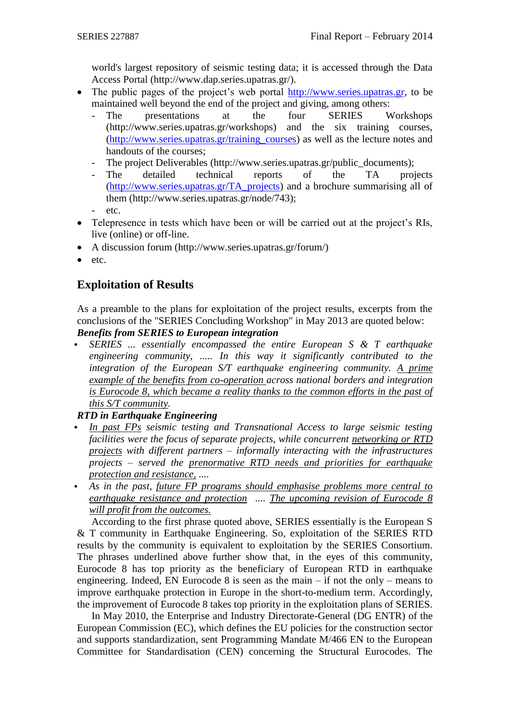world's largest repository of seismic testing data; it is accessed through the Data Access Portal (http://www.dap.series.upatras.gr/).

- The public pages of the project's web portal [http://www.series.upatras.gr,](http://www.series.upatras.gr/training_courses) to be maintained well beyond the end of the project and giving, among others:
	- The presentations at the four SERIES Workshops (http://www.series.upatras.gr/workshops) and the six training courses, [\(http://www.series.upatras.gr/training\\_courses\)](http://www.series.upatras.gr/training_courses) as well as the lecture notes and handouts of the courses;
	- The project Deliverables (http://www.series.upatras.gr/public\_documents);
	- The detailed technical reports of the TA projects [\(http://www.series.upatras.gr/TA\\_projects\)](http://www.series.upatras.gr/TA_projects) and a brochure summarising all of them (http://www.series.upatras.gr/node/743);
	- etc.
- Telepresence in tests which have been or will be carried out at the project's RIs, live (online) or off-line.
- A discussion forum (http://www.series.upatras.gr/forum/)
- etc.

# **Exploitation of Results**

As a preamble to the plans for exploitation of the project results, excerpts from the conclusions of the "SERIES Concluding Workshop" in May 2013 are quoted below: *Benefits from SERIES to European integration*

• *SERIES ... essentially encompassed the entire European S & T earthquake engineering community, ..... In this way it significantly contributed to the integration of the European S/T earthquake engineering community. A prime example of the benefits from co-operation across national borders and integration is Eurocode 8, which became a reality thanks to the common efforts in the past of this S/T community.*

# *RTD in Earthquake Engineering*

- *In past FPs seismic testing and Transnational Access to large seismic testing facilities were the focus of separate projects, while concurrent networking or RTD projects with different partners – informally interacting with the infrastructures projects – served the prenormative RTD needs and priorities for earthquake protection and resistance, ....*
- *As in the past, future FP programs should emphasise problems more central to earthquake resistance and protection .... The upcoming revision of Eurocode 8 will profit from the outcomes.*

According to the first phrase quoted above, SERIES essentially is the European S & T community in Earthquake Engineering. So, exploitation of the SERIES RTD results by the community is equivalent to exploitation by the SERIES Consortium. The phrases underlined above further show that, in the eyes of this community, Eurocode 8 has top priority as the beneficiary of European RTD in earthquake engineering. Indeed, EN Eurocode 8 is seen as the main – if not the only – means to improve earthquake protection in Europe in the short-to-medium term. Accordingly, the improvement of Eurocode 8 takes top priority in the exploitation plans of SERIES.

In May 2010, the Enterprise and Industry Directorate-General (DG ENTR) of the European Commission (EC), which defines the EU policies for the construction sector and supports standardization, sent Programming Mandate M/466 EN to the European Committee for Standardisation (CEN) concerning the Structural Eurocodes. The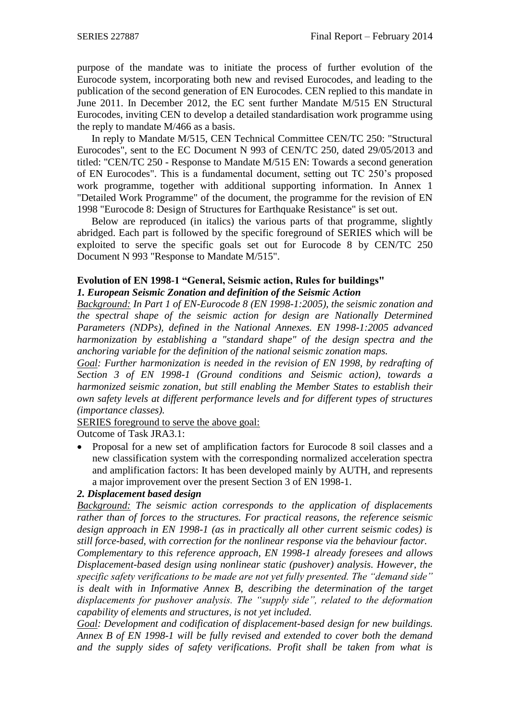purpose of the mandate was to initiate the process of further evolution of the Eurocode system, incorporating both new and revised Eurocodes, and leading to the publication of the second generation of EN Eurocodes. CEN replied to this mandate in June 2011. In December 2012, the EC sent further Mandate M/515 EN Structural Eurocodes, inviting CEN to develop a detailed standardisation work programme using the reply to mandate M/466 as a basis.

In reply to Mandate M/515, CEN Technical Committee CEN/TC 250: "Structural Eurocodes", sent to the EC Document N 993 of CEN/TC 250, dated 29/05/2013 and titled: "CEN/TC 250 - Response to Mandate M/515 EN: Towards a second generation of EN Eurocodes". This is a fundamental document, setting out TC 250's proposed work programme, together with additional supporting information. In Annex 1 "Detailed Work Programme" of the document, the programme for the revision of EN 1998 "Eurocode 8: Design of Structures for Earthquake Resistance" is set out.

Below are reproduced (in italics) the various parts of that programme, slightly abridged. Each part is followed by the specific foreground of SERIES which will be exploited to serve the specific goals set out for Eurocode 8 by CEN/TC 250 Document N 993 "Response to Mandate M/515".

#### **Evolution of EN 1998-1 "General, Seismic action, Rules for buildings"**

#### *1. European Seismic Zonation and definition of the Seismic Action*

*Background: In Part 1 of EN-Eurocode 8 (EN 1998-1:2005), the seismic zonation and the spectral shape of the seismic action for design are Nationally Determined Parameters (NDPs), defined in the National Annexes. EN 1998-1:2005 advanced harmonization by establishing a "standard shape" of the design spectra and the anchoring variable for the definition of the national seismic zonation maps.* 

*Goal: Further harmonization is needed in the revision of EN 1998, by redrafting of Section 3 of EN 1998-1 (Ground conditions and Seismic action), towards a harmonized seismic zonation, but still enabling the Member States to establish their own safety levels at different performance levels and for different types of structures (importance classes).*

SERIES foreground to serve the above goal:

Outcome of Task JRA3.1:

• Proposal for a new set of amplification factors for Eurocode 8 soil classes and a new classification system with the corresponding normalized acceleration spectra and amplification factors: It has been developed mainly by AUTH, and represents a major improvement over the present Section 3 of EN 1998-1.

#### *2. Displacement based design*

*Background: The seismic action corresponds to the application of displacements rather than of forces to the structures. For practical reasons, the reference seismic design approach in EN 1998-1 (as in practically all other current seismic codes) is still force-based, with correction for the nonlinear response via the behaviour factor. Complementary to this reference approach, EN 1998-1 already foresees and allows Displacement-based design using nonlinear static (pushover) analysis. However, the specific safety verifications to be made are not yet fully presented. The "demand side" is dealt with in Informative Annex B, describing the determination of the target displacements for pushover analysis. The "supply side", related to the deformation capability of elements and structures, is not yet included.*

*Goal: Development and codification of displacement-based design for new buildings. Annex B of EN 1998-1 will be fully revised and extended to cover both the demand and the supply sides of safety verifications. Profit shall be taken from what is*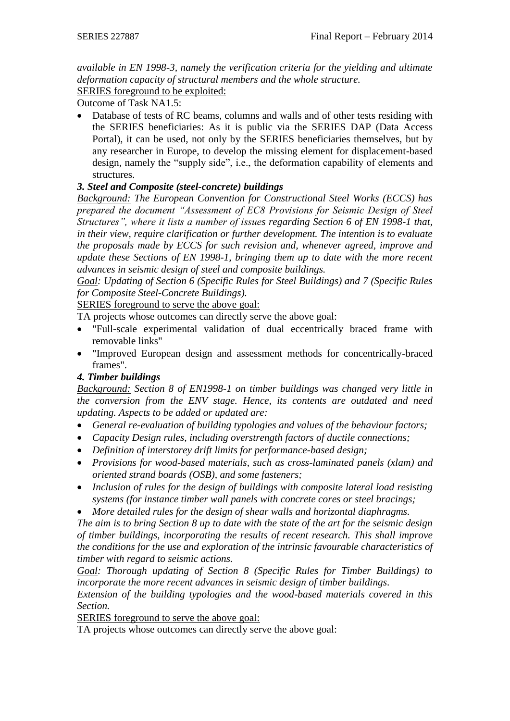*available in EN 1998-3, namely the verification criteria for the yielding and ultimate deformation capacity of structural members and the whole structure.* SERIES foreground to be exploited:

Outcome of Task NA1.5:

 Database of tests of RC beams, columns and walls and of other tests residing with the SERIES beneficiaries: As it is public via the SERIES DAP (Data Access Portal), it can be used, not only by the SERIES beneficiaries themselves, but by any researcher in Europe, to develop the missing element for displacement-based design, namely the "supply side", i.e., the deformation capability of elements and structures.

# *3. Steel and Composite (steel-concrete) buildings*

*Background: The European Convention for Constructional Steel Works (ECCS) has prepared the document "Assessment of EC8 Provisions for Seismic Design of Steel Structures", where it lists a number of issues regarding Section 6 of EN 1998-1 that, in their view, require clarification or further development. The intention is to evaluate the proposals made by ECCS for such revision and, whenever agreed, improve and update these Sections of EN 1998-1, bringing them up to date with the more recent advances in seismic design of steel and composite buildings.*

*Goal: Updating of Section 6 (Specific Rules for Steel Buildings) and 7 (Specific Rules for Composite Steel-Concrete Buildings).*

SERIES foreground to serve the above goal:

TA projects whose outcomes can directly serve the above goal:

- "Full-scale experimental validation of dual eccentrically braced frame with removable links"
- "Improved European design and assessment methods for concentrically-braced frames".

# *4. Timber buildings*

*Background: Section 8 of EN1998-1 on timber buildings was changed very little in the conversion from the ENV stage. Hence, its contents are outdated and need updating. Aspects to be added or updated are:*

- *General re-evaluation of building typologies and values of the behaviour factors;*
- *Capacity Design rules, including overstrength factors of ductile connections;*
- *Definition of interstorey drift limits for performance-based design;*
- *Provisions for wood-based materials, such as cross-laminated panels (xlam) and oriented strand boards (OSB), and some fasteners;*
- *Inclusion of rules for the design of buildings with composite lateral load resisting systems (for instance timber wall panels with concrete cores or steel bracings;*
- *More detailed rules for the design of shear walls and horizontal diaphragms.*

*The aim is to bring Section 8 up to date with the state of the art for the seismic design of timber buildings, incorporating the results of recent research. This shall improve the conditions for the use and exploration of the intrinsic favourable characteristics of timber with regard to seismic actions.* 

*Goal: Thorough updating of Section 8 (Specific Rules for Timber Buildings) to incorporate the more recent advances in seismic design of timber buildings.*

*Extension of the building typologies and the wood-based materials covered in this Section.*

SERIES foreground to serve the above goal:

TA projects whose outcomes can directly serve the above goal: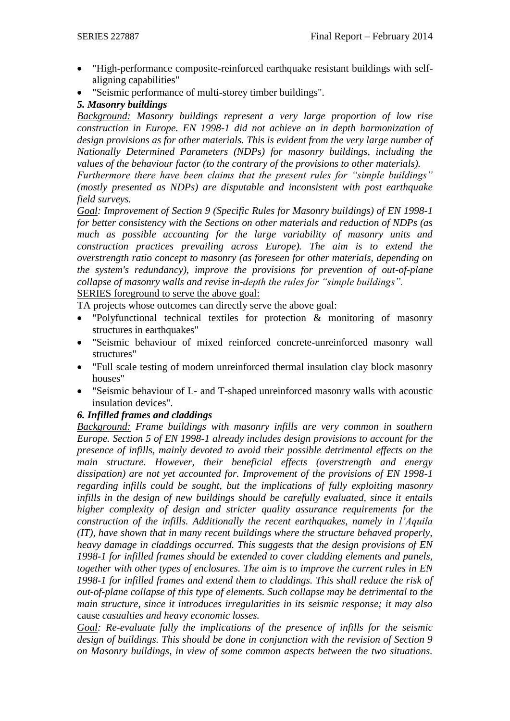- "High-performance composite-reinforced earthquake resistant buildings with selfaligning capabilities"
- "Seismic performance of multi-storey timber buildings".

# *5. Masonry buildings*

*Background: Masonry buildings represent a very large proportion of low rise construction in Europe. EN 1998-1 did not achieve an in depth harmonization of design provisions as for other materials. This is evident from the very large number of Nationally Determined Parameters (NDPs) for masonry buildings, including the values of the behaviour factor (to the contrary of the provisions to other materials).* 

*Furthermore there have been claims that the present rules for "simple buildings" (mostly presented as NDPs) are disputable and inconsistent with post earthquake field surveys.* 

*Goal: Improvement of Section 9 (Specific Rules for Masonry buildings) of EN 1998-1 for better consistency with the Sections on other materials and reduction of NDPs (as much as possible accounting for the large variability of masonry units and construction practices prevailing across Europe). The aim is to extend the overstrength ratio concept to masonry (as foreseen for other materials, depending on the system's redundancy), improve the provisions for prevention of out-of-plane collapse of masonry walls and revise in-depth the rules for "simple buildings".*

# SERIES foreground to serve the above goal:

TA projects whose outcomes can directly serve the above goal:

- "Polyfunctional technical textiles for protection & monitoring of masonry structures in earthquakes"
- "Seismic behaviour of mixed reinforced concrete-unreinforced masonry wall structures"
- "Full scale testing of modern unreinforced thermal insulation clay block masonry houses"
- "Seismic behaviour of L- and T-shaped unreinforced masonry walls with acoustic insulation devices".

# *6. Infilled frames and claddings*

*Background: Frame buildings with masonry infills are very common in southern Europe. Section 5 of EN 1998-1 already includes design provisions to account for the presence of infills, mainly devoted to avoid their possible detrimental effects on the main structure. However, their beneficial effects (overstrength and energy dissipation) are not yet accounted for. Improvement of the provisions of EN 1998-1 regarding infills could be sought, but the implications of fully exploiting masonry infills in the design of new buildings should be carefully evaluated, since it entails higher complexity of design and stricter quality assurance requirements for the construction of the infills. Additionally the recent earthquakes, namely in l'Aquila (IT), have shown that in many recent buildings where the structure behaved properly, heavy damage in claddings occurred. This suggests that the design provisions of EN 1998-1 for infilled frames should be extended to cover cladding elements and panels, together with other types of enclosures. The aim is to improve the current rules in EN 1998-1 for infilled frames and extend them to claddings. This shall reduce the risk of out-of-plane collapse of this type of elements. Such collapse may be detrimental to the main structure, since it introduces irregularities in its seismic response; it may also* cause *casualties and heavy economic losses.*

*Goal: Re-evaluate fully the implications of the presence of infills for the seismic design of buildings. This should be done in conjunction with the revision of Section 9 on Masonry buildings, in view of some common aspects between the two situations.*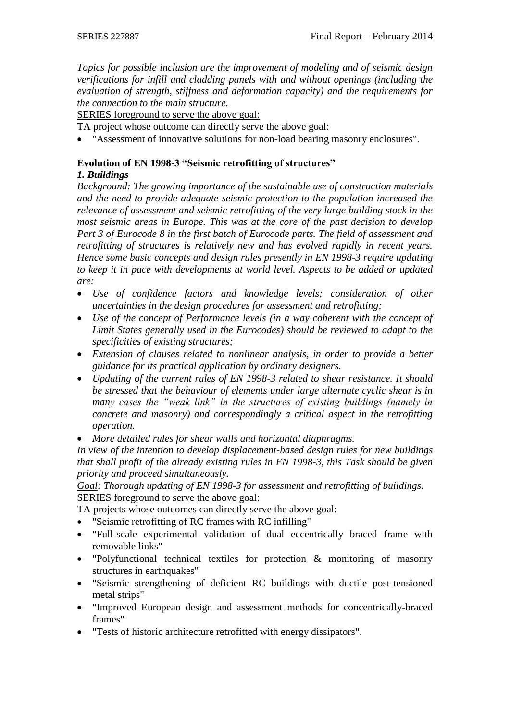*Topics for possible inclusion are the improvement of modeling and of seismic design verifications for infill and cladding panels with and without openings (including the evaluation of strength, stiffness and deformation capacity) and the requirements for the connection to the main structure.*

SERIES foreground to serve the above goal:

TA project whose outcome can directly serve the above goal:

"Assessment of innovative solutions for non-load bearing masonry enclosures".

# **Evolution of EN 1998-3 "Seismic retrofitting of structures"**

### *1. Buildings*

*Background: The growing importance of the sustainable use of construction materials and the need to provide adequate seismic protection to the population increased the relevance of assessment and seismic retrofitting of the very large building stock in the most seismic areas in Europe. This was at the core of the past decision to develop Part 3 of Eurocode 8 in the first batch of Eurocode parts. The field of assessment and retrofitting of structures is relatively new and has evolved rapidly in recent years. Hence some basic concepts and design rules presently in EN 1998-3 require updating to keep it in pace with developments at world level. Aspects to be added or updated are:*

- *Use of confidence factors and knowledge levels; consideration of other uncertainties in the design procedures for assessment and retrofitting;*
- *Use of the concept of Performance levels (in a way coherent with the concept of Limit States generally used in the Eurocodes) should be reviewed to adapt to the specificities of existing structures;*
- *Extension of clauses related to nonlinear analysis, in order to provide a better guidance for its practical application by ordinary designers.*
- *Updating of the current rules of EN 1998-3 related to shear resistance. It should be stressed that the behaviour of elements under large alternate cyclic shear is in many cases the "weak link" in the structures of existing buildings (namely in concrete and masonry) and correspondingly a critical aspect in the retrofitting operation.*
- *More detailed rules for shear walls and horizontal diaphragms.*

*In view of the intention to develop displacement-based design rules for new buildings that shall profit of the already existing rules in EN 1998-3, this Task should be given priority and proceed simultaneously.*

*Goal: Thorough updating of EN 1998-3 for assessment and retrofitting of buildings.*  SERIES foreground to serve the above goal:

TA projects whose outcomes can directly serve the above goal:

- "Seismic retrofitting of RC frames with RC infilling"
- "Full-scale experimental validation of dual eccentrically braced frame with removable links"
- "Polyfunctional technical textiles for protection & monitoring of masonry structures in earthquakes"
- "Seismic strengthening of deficient RC buildings with ductile post-tensioned metal strips"
- "Improved European design and assessment methods for concentrically-braced frames"
- "Tests of historic architecture retrofitted with energy dissipators".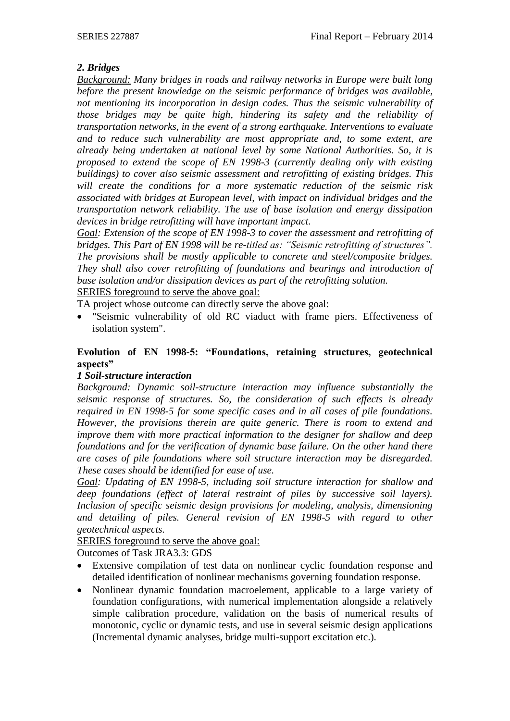# *2. Bridges*

*Background: Many bridges in roads and railway networks in Europe were built long before the present knowledge on the seismic performance of bridges was available, not mentioning its incorporation in design codes. Thus the seismic vulnerability of those bridges may be quite high, hindering its safety and the reliability of transportation networks, in the event of a strong earthquake. Interventions to evaluate and to reduce such vulnerability are most appropriate and, to some extent, are already being undertaken at national level by some National Authorities. So, it is proposed to extend the scope of EN 1998-3 (currently dealing only with existing buildings) to cover also seismic assessment and retrofitting of existing bridges. This will create the conditions for a more systematic reduction of the seismic risk associated with bridges at European level, with impact on individual bridges and the transportation network reliability. The use of base isolation and energy dissipation devices in bridge retrofitting will have important impact.*

*Goal: Extension of the scope of EN 1998-3 to cover the assessment and retrofitting of bridges. This Part of EN 1998 will be re-titled as: "Seismic retrofitting of structures". The provisions shall be mostly applicable to concrete and steel/composite bridges. They shall also cover retrofitting of foundations and bearings and introduction of base isolation and/or dissipation devices as part of the retrofitting solution.* SERIES foreground to serve the above goal:

TA project whose outcome can directly serve the above goal:

 "Seismic vulnerability of old RC viaduct with frame piers. Effectiveness of isolation system".

# **Evolution of EN 1998-5: "Foundations, retaining structures, geotechnical aspects"**

# *1 Soil-structure interaction*

*Background: Dynamic soil-structure interaction may influence substantially the seismic response of structures. So, the consideration of such effects is already required in EN 1998-5 for some specific cases and in all cases of pile foundations. However, the provisions therein are quite generic. There is room to extend and improve them with more practical information to the designer for shallow and deep foundations and for the verification of dynamic base failure. On the other hand there are cases of pile foundations where soil structure interaction may be disregarded. These cases should be identified for ease of use.* 

*Goal: Updating of EN 1998-5, including soil structure interaction for shallow and deep foundations (effect of lateral restraint of piles by successive soil layers). Inclusion of specific seismic design provisions for modeling, analysis, dimensioning and detailing of piles. General revision of EN 1998-5 with regard to other geotechnical aspects.* 

SERIES foreground to serve the above goal:

Outcomes of Task JRA3.3: GDS

- Extensive compilation of test data on nonlinear cyclic foundation response and detailed identification of nonlinear mechanisms governing foundation response.
- Nonlinear dynamic foundation macroelement, applicable to a large variety of foundation configurations, with numerical implementation alongside a relatively simple calibration procedure, validation on the basis of numerical results of monotonic, cyclic or dynamic tests, and use in several seismic design applications (Incremental dynamic analyses, bridge multi-support excitation etc.).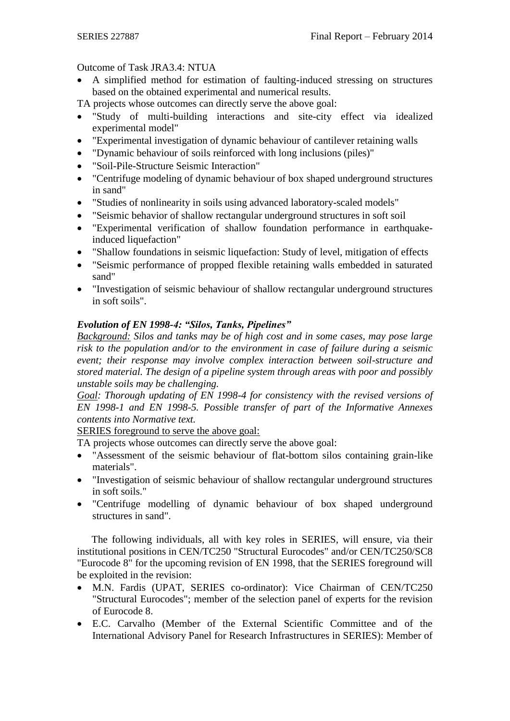#### Outcome of Task JRA3.4: NTUA

- A simplified method for estimation of faulting-induced stressing on structures based on the obtained experimental and numerical results.
- TA projects whose outcomes can directly serve the above goal:
- "Study of multi-building interactions and site-city effect via idealized experimental model"
- "Experimental investigation of dynamic behaviour of cantilever retaining walls
- "Dynamic behaviour of soils reinforced with long inclusions (piles)"
- "Soil-Pile-Structure Seismic Interaction"
- "Centrifuge modeling of dynamic behaviour of box shaped underground structures in sand"
- "Studies of nonlinearity in soils using advanced laboratory-scaled models"
- "Seismic behavior of shallow rectangular underground structures in soft soil
- "Experimental verification of shallow foundation performance in earthquakeinduced liquefaction"
- "Shallow foundations in seismic liquefaction: Study of level, mitigation of effects
- "Seismic performance of propped flexible retaining walls embedded in saturated sand"
- "Investigation of seismic behaviour of shallow rectangular underground structures in soft soils".

# *Evolution of EN 1998-4: "Silos, Tanks, Pipelines"*

*Background: Silos and tanks may be of high cost and in some cases, may pose large risk to the population and/or to the environment in case of failure during a seismic event; their response may involve complex interaction between soil-structure and stored material. The design of a pipeline system through areas with poor and possibly unstable soils may be challenging.* 

*Goal: Thorough updating of EN 1998-4 for consistency with the revised versions of EN 1998-1 and EN 1998-5. Possible transfer of part of the Informative Annexes contents into Normative text.*

SERIES foreground to serve the above goal:

TA projects whose outcomes can directly serve the above goal:

- "Assessment of the seismic behaviour of flat-bottom silos containing grain-like materials".
- "Investigation of seismic behaviour of shallow rectangular underground structures in soft soils."
- "Centrifuge modelling of dynamic behaviour of box shaped underground structures in sand".

The following individuals, all with key roles in SERIES, will ensure, via their institutional positions in CEN/TC250 "Structural Eurocodes" and/or CEN/TC250/SC8 "Eurocode 8" for the upcoming revision of EN 1998, that the SERIES foreground will be exploited in the revision:

- M.N. Fardis (UPAT, SERIES co-ordinator): Vice Chairman of CEN/TC250 "Structural Eurocodes"; member of the selection panel of experts for the revision of Eurocode 8.
- E.C. Carvalho (Member of the External Scientific Committee and of the International Advisory Panel for Research Infrastructures in SERIES): Member of